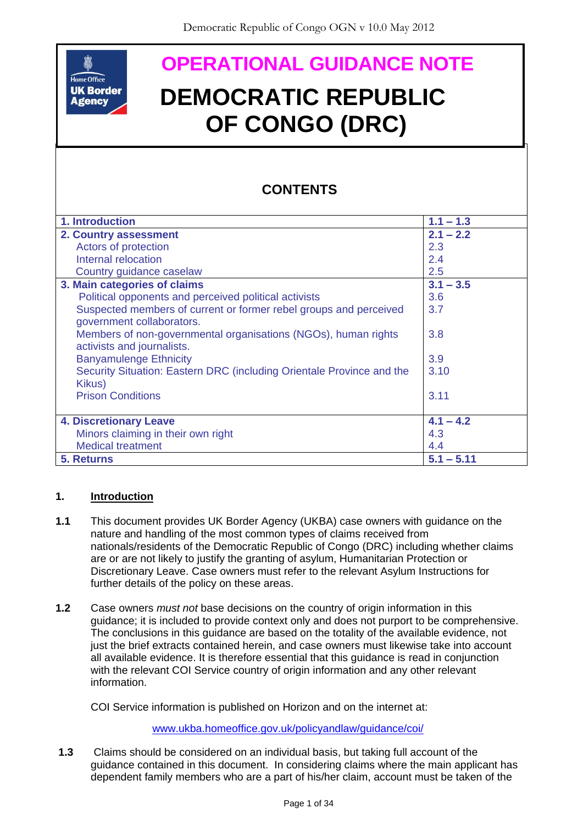

# **DEMOCRATIC REPUBLIC OF CONGO (DRC)**

# **CONTENTS**

|                                                                                                                                                                                                                                                                                                                                                                                                                                                                                                            | <b>OPERATIONAL GUIDANCE NOTE</b>                                                                                                                                                                                                                                                                                                                                                                                                                                                                                                                                                                                                                                |                    |
|------------------------------------------------------------------------------------------------------------------------------------------------------------------------------------------------------------------------------------------------------------------------------------------------------------------------------------------------------------------------------------------------------------------------------------------------------------------------------------------------------------|-----------------------------------------------------------------------------------------------------------------------------------------------------------------------------------------------------------------------------------------------------------------------------------------------------------------------------------------------------------------------------------------------------------------------------------------------------------------------------------------------------------------------------------------------------------------------------------------------------------------------------------------------------------------|--------------------|
| Home Office<br><b>UK Border</b><br><b>DEMOCRATIC REPUBLIC</b><br><b>Agency</b><br><b>OF CONGO (DRC)</b>                                                                                                                                                                                                                                                                                                                                                                                                    |                                                                                                                                                                                                                                                                                                                                                                                                                                                                                                                                                                                                                                                                 |                    |
|                                                                                                                                                                                                                                                                                                                                                                                                                                                                                                            | <b>CONTENTS</b>                                                                                                                                                                                                                                                                                                                                                                                                                                                                                                                                                                                                                                                 |                    |
|                                                                                                                                                                                                                                                                                                                                                                                                                                                                                                            | 1. Introduction                                                                                                                                                                                                                                                                                                                                                                                                                                                                                                                                                                                                                                                 | $1.1 - 1.3$        |
|                                                                                                                                                                                                                                                                                                                                                                                                                                                                                                            | 2. Country assessment                                                                                                                                                                                                                                                                                                                                                                                                                                                                                                                                                                                                                                           | $2.1 - 2.2$        |
|                                                                                                                                                                                                                                                                                                                                                                                                                                                                                                            | Actors of protection                                                                                                                                                                                                                                                                                                                                                                                                                                                                                                                                                                                                                                            | 2.3                |
| Internal relocation                                                                                                                                                                                                                                                                                                                                                                                                                                                                                        |                                                                                                                                                                                                                                                                                                                                                                                                                                                                                                                                                                                                                                                                 | 2.4                |
|                                                                                                                                                                                                                                                                                                                                                                                                                                                                                                            | Country guidance caselaw<br>3. Main categories of claims                                                                                                                                                                                                                                                                                                                                                                                                                                                                                                                                                                                                        | 2.5<br>$3.1 - 3.5$ |
| Political opponents and perceived political activists                                                                                                                                                                                                                                                                                                                                                                                                                                                      |                                                                                                                                                                                                                                                                                                                                                                                                                                                                                                                                                                                                                                                                 | 3.6                |
| Suspected members of current or former rebel groups and perceived                                                                                                                                                                                                                                                                                                                                                                                                                                          |                                                                                                                                                                                                                                                                                                                                                                                                                                                                                                                                                                                                                                                                 | 3.7                |
| government collaborators.<br>Members of non-governmental organisations (NGOs), human rights<br>activists and journalists.                                                                                                                                                                                                                                                                                                                                                                                  |                                                                                                                                                                                                                                                                                                                                                                                                                                                                                                                                                                                                                                                                 | 3.8                |
| <b>Banyamulenge Ethnicity</b>                                                                                                                                                                                                                                                                                                                                                                                                                                                                              |                                                                                                                                                                                                                                                                                                                                                                                                                                                                                                                                                                                                                                                                 | 3.9                |
| Security Situation: Eastern DRC (including Orientale Province and the                                                                                                                                                                                                                                                                                                                                                                                                                                      |                                                                                                                                                                                                                                                                                                                                                                                                                                                                                                                                                                                                                                                                 | 3.10               |
| Kikus)<br><b>Prison Conditions</b>                                                                                                                                                                                                                                                                                                                                                                                                                                                                         |                                                                                                                                                                                                                                                                                                                                                                                                                                                                                                                                                                                                                                                                 | 3.11               |
| <b>4. Discretionary Leave</b>                                                                                                                                                                                                                                                                                                                                                                                                                                                                              |                                                                                                                                                                                                                                                                                                                                                                                                                                                                                                                                                                                                                                                                 | $4.1 - 4.2$        |
|                                                                                                                                                                                                                                                                                                                                                                                                                                                                                                            | Minors claiming in their own right                                                                                                                                                                                                                                                                                                                                                                                                                                                                                                                                                                                                                              | 4.3                |
|                                                                                                                                                                                                                                                                                                                                                                                                                                                                                                            | <b>Medical treatment</b>                                                                                                                                                                                                                                                                                                                                                                                                                                                                                                                                                                                                                                        | 4.4                |
| 5. Returns                                                                                                                                                                                                                                                                                                                                                                                                                                                                                                 |                                                                                                                                                                                                                                                                                                                                                                                                                                                                                                                                                                                                                                                                 | $5.1 - 5.11$       |
| 1. Introduction<br>1.1<br>This document provides UK Border Agency (UKBA) case owners with guidance on the<br>nature and handling of the most common types of claims received from<br>nationals/residents of the Democratic Republic of Congo (DRC) including whether claims<br>are or are not likely to justify the granting of asylum, Humanitarian Protection or<br>Discretionary Leave. Case owners must refer to the relevant Asylum Instructions for<br>further details of the policy on these areas. |                                                                                                                                                                                                                                                                                                                                                                                                                                                                                                                                                                                                                                                                 |                    |
| 1.2                                                                                                                                                                                                                                                                                                                                                                                                                                                                                                        | Case owners <i>must not</i> base decisions on the country of origin information in this<br>guidance; it is included to provide context only and does not purport to be comprehensive.<br>The conclusions in this guidance are based on the totality of the available evidence, not<br>just the brief extracts contained herein, and case owners must likewise take into account<br>all available evidence. It is therefore essential that this guidance is read in conjunction<br>with the relevant COI Service country of origin information and any other relevant<br>information.<br>COI Service information is published on Horizon and on the internet at: |                    |
|                                                                                                                                                                                                                                                                                                                                                                                                                                                                                                            |                                                                                                                                                                                                                                                                                                                                                                                                                                                                                                                                                                                                                                                                 |                    |
|                                                                                                                                                                                                                                                                                                                                                                                                                                                                                                            | www.ukba.homeoffice.gov.uk/policyandlaw/guidance/coi/                                                                                                                                                                                                                                                                                                                                                                                                                                                                                                                                                                                                           |                    |
| 1.3                                                                                                                                                                                                                                                                                                                                                                                                                                                                                                        | Claims should be considered on an individual basis, but taking full account of the<br>guidance contained in this document. In considering claims where the main applicant has<br>dependent family members who are a part of his/her claim, account must be taken of the                                                                                                                                                                                                                                                                                                                                                                                         |                    |

# <span id="page-0-0"></span>**1. Introduction**

- **1.1** This document provides UK Border Agency (UKBA) case owners with guidance on the nature and handling of the most common types of claims received from nationals/residents of the Democratic Republic of Congo (DRC) including whether claims are or are not likely to justify the granting of asylum, Humanitarian Protection or Discretionary Leave. Case owners must refer to the relevant Asylum Instructions for further details of the policy on these areas.
- **1.2** Case owners *must not* base decisions on the country of origin information in this guidance; it is included to provide context only and does not purport to be comprehensive. The conclusions in this guidance are based on the totality of the available evidence, not just the brief extracts contained herein, and case owners must likewise take into account all available evidence. It is therefore essential that this guidance is read in conjunction with the relevant COI Service country of origin information and any other relevant information.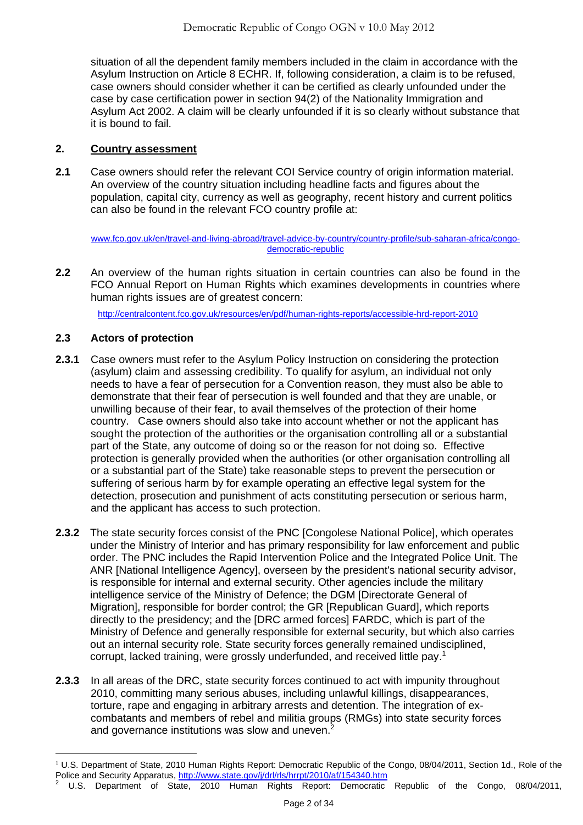situation of all the dependent family members included in the claim in accordance with the Asylum Instruction on Article 8 ECHR. If, following consideration, a claim is to be refused, case owners should consider whether it can be certified as clearly unfounded under the case by case certification power in section 94(2) of the Nationality Immigration and Asylum Act 2002. A claim will be clearly unfounded if it is so clearly without substance that it is bound to fail.

## <span id="page-1-0"></span>**2. Country assessment**

**2.1** Case owners should refer the relevant COI Service country of origin information material. An overview of the country situation including headline facts and figures about the population, capital city, currency as well as geography, recent history and current politics can also be found in the relevant FCO country profile at:

[www.fco.gov.uk/en/travel-and-living-abroad/travel-advice-by-country/country-profile/sub-saharan-africa/congo](http://www.fco.gov.uk/en/travel-and-living-abroad/travel-advice-by-country/country-profile/sub-saharan-africa/congo-democratic-republic)[democratic-republic](http://www.fco.gov.uk/en/travel-and-living-abroad/travel-advice-by-country/country-profile/sub-saharan-africa/congo-democratic-republic)

**2.2** An overview of the human rights situation in certain countries can also be found in the FCO Annual Report on Human Rights which examines developments in countries where human rights issues are of greatest concern:

<span id="page-1-1"></span><http://centralcontent.fco.gov.uk/resources/en/pdf/human-rights-reports/accessible-hrd-report-2010>

## **2.3 Actors of protection**

- **2.3.1** Case owners must refer to the Asylum Policy Instruction on considering the protection (asylum) claim and assessing credibility. To qualify for asylum, an individual not only needs to have a fear of persecution for a Convention reason, they must also be able to demonstrate that their fear of persecution is well founded and that they are unable, or unwilling because of their fear, to avail themselves of the protection of their home country. Case owners should also take into account whether or not the applicant has sought the protection of the authorities or the organisation controlling all or a substantial part of the State, any outcome of doing so or the reason for not doing so. Effective protection is generally provided when the authorities (or other organisation controlling all or a substantial part of the State) take reasonable steps to prevent the persecution or suffering of serious harm by for example operating an effective legal system for the detection, prosecution and punishment of acts constituting persecution or serious harm, and the applicant has access to such protection.
- **2.3.2** The state security forces consist of the PNC [Congolese National Police], which operates under the Ministry of Interior and has primary responsibility for law enforcement and public order. The PNC includes the Rapid Intervention Police and the Integrated Police Unit. The ANR [National Intelligence Agency], overseen by the president's national security advisor, is responsible for internal and external security. Other agencies include the military intelligence service of the Ministry of Defence; the DGM [Directorate General of Migration], responsible for border control; the GR [Republican Guard], which reports directly to the presidency; and the [DRC armed forces] FARDC, which is part of the Ministry of Defence and generally responsible for external security, but which also carries out an internal security role. State security forces generally remained undisciplined, corrupt, lacked training, were grossly underfunded, and received little pay.<sup>1</sup>
- **2.3.3** In all areas of the DRC, state security forces continued to act with impunity throughout 2010, committing many serious abuses, including unlawful killings, disappearances, torture, rape and engaging in arbitrary arrests and detention. The integration of excombatants and members of rebel and militia groups (RMGs) into state security forces and governance institutions was slow and uneven.<sup>2</sup>

<sup>1</sup> U.S. Department of State, 2010 Human Rights Report: Democratic Republic of the Congo, 08/04/2011, Section 1d., Role of the Police and Security Apparatus,<http://www.state.gov/j/drl/rls/hrrpt/2010/af/154340.htm>

U.S. Department of State, 2010 Human Rights Report: Democratic Republic of the Congo, 08/04/2011,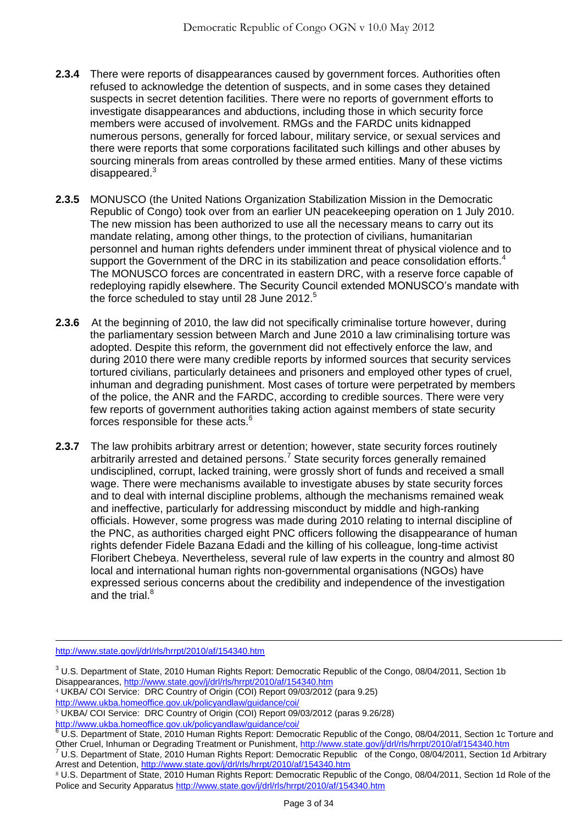- **2.3.4** There were reports of disappearances caused by government forces. Authorities often refused to acknowledge the detention of suspects, and in some cases they detained suspects in secret detention facilities. There were no reports of government efforts to investigate disappearances and abductions, including those in which security force members were accused of involvement. RMGs and the FARDC units kidnapped numerous persons, generally for forced labour, military service, or sexual services and there were reports that some corporations facilitated such killings and other abuses by sourcing minerals from areas controlled by these armed entities. Many of these victims disappeared.<sup>3</sup>
- **2.3.5** MONUSCO (the United Nations Organization Stabilization Mission in the Democratic Republic of Congo) took over from an earlier UN peacekeeping operation on 1 July 2010. The new mission has been authorized to use all the necessary means to carry out its mandate relating, among other things, to the protection of civilians, humanitarian personnel and human rights defenders under imminent threat of physical violence and to support the Government of the DRC in its stabilization and peace consolidation efforts.<sup>4</sup> The MONUSCO forces are concentrated in eastern DRC, with a reserve force capable of redeploying rapidly elsewhere. The Security Council extended MONUSCO's mandate with the force scheduled to stay until 28 June 2012.<sup>5</sup>
- **2.3.6** At the beginning of 2010, the law did not specifically criminalise torture however, during the parliamentary session between March and June 2010 a law criminalising torture was adopted. Despite this reform, the government did not effectively enforce the law, and during 2010 there were many credible reports by informed sources that security services tortured civilians, particularly detainees and prisoners and employed other types of cruel, inhuman and degrading punishment. Most cases of torture were perpetrated by members of the police, the ANR and the FARDC, according to credible sources. There were very few reports of government authorities taking action against members of state security forces responsible for these acts.<sup>6</sup>
- **2.3.7** The law prohibits arbitrary arrest or detention; however, state security forces routinely arbitrarily arrested and detained persons.<sup>7</sup> State security forces generally remained undisciplined, corrupt, lacked training, were grossly short of funds and received a small wage. There were mechanisms available to investigate abuses by state security forces and to deal with internal discipline problems, although the mechanisms remained weak and ineffective, particularly for addressing misconduct by middle and high-ranking officials. However, some progress was made during 2010 relating to internal discipline of the PNC, as authorities charged eight PNC officers following the disappearance of human rights defender Fidele Bazana Edadi and the killing of his colleague, long-time activist Floribert Chebeya. Nevertheless, several rule of law experts in the country and almost 80 local and international human rights non-governmental organisations (NGOs) have expressed serious concerns about the credibility and independence of the investigation and the trial.<sup>8</sup>

<http://www.state.gov/j/drl/rls/hrrpt/2010/af/154340.htm>

 $\overline{a}$ 

4 UKBA/ COI Service: DRC Country of Origin (COI) Report 09/03/2012 (para 9.25)

<http://www.ukba.homeoffice.gov.uk/policyandlaw/guidance/coi/>

<sup>&</sup>lt;sup>3</sup> U.S. Department of State, 2010 Human Rights Report: Democratic Republic of the Congo, 08/04/2011, Section 1b Disappearances[, http://www.state.gov/j/drl/rls/hrrpt/2010/af/154340.htm](http://www.state.gov/j/drl/rls/hrrpt/2010/af/154340.htm)

<http://www.ukba.homeoffice.gov.uk/policyandlaw/guidance/coi/>

<sup>5</sup> UKBA/ COI Service: DRC Country of Origin (COI) Report 09/03/2012 (paras 9.26/28)

<sup>6</sup> U.S. Department of State, 2010 Human Rights Report: Democratic Republic of the Congo, 08/04/2011, Section 1c Torture and Other Cruel, Inhuman or Degrading Treatment or Punishment,<http://www.state.gov/j/drl/rls/hrrpt/2010/af/154340.htm>

<sup>7</sup> U.S. Department of State, 2010 Human Rights Report: Democratic Republic of the Congo, 08/04/2011, Section 1d Arbitrary Arrest and Detention,<http://www.state.gov/j/drl/rls/hrrpt/2010/af/154340.htm>

<sup>8</sup> U.S. Department of State, 2010 Human Rights Report: Democratic Republic of the Congo, 08/04/2011, Section 1d Role of the Police and Security Apparatus<http://www.state.gov/j/drl/rls/hrrpt/2010/af/154340.htm>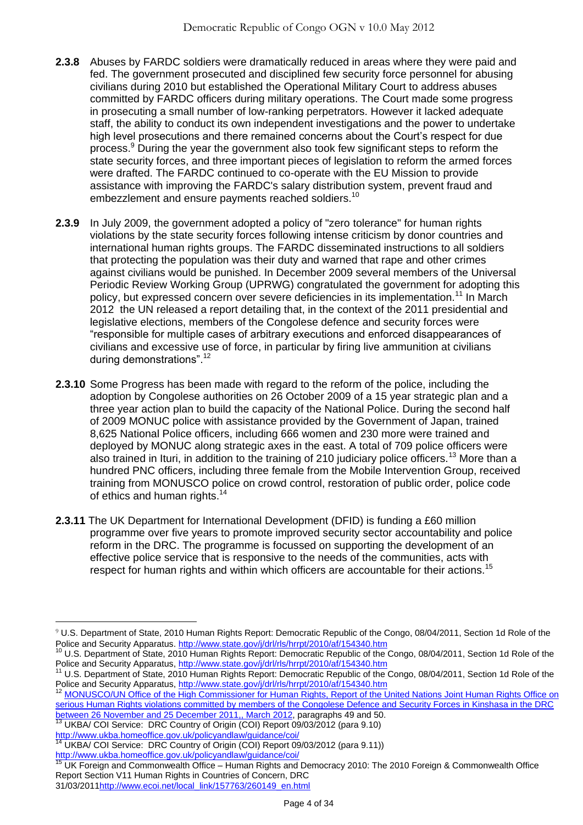- **2.3.8** Abuses by FARDC soldiers were dramatically reduced in areas where they were paid and fed. The government prosecuted and disciplined few security force personnel for abusing civilians during 2010 but established the Operational Military Court to address abuses committed by FARDC officers during military operations. The Court made some progress in prosecuting a small number of low-ranking perpetrators. However it lacked adequate staff, the ability to conduct its own independent investigations and the power to undertake high level prosecutions and there remained concerns about the Court's respect for due process.<sup>9</sup> During the year the government also took few significant steps to reform the state security forces, and three important pieces of legislation to reform the armed forces were drafted. The FARDC continued to co-operate with the EU Mission to provide assistance with improving the FARDC's salary distribution system, prevent fraud and embezzlement and ensure payments reached soldiers.<sup>10</sup>
- **2.3.9** In July 2009, the government adopted a policy of "zero tolerance" for human rights violations by the state security forces following intense criticism by donor countries and international human rights groups. The FARDC disseminated instructions to all soldiers that protecting the population was their duty and warned that rape and other crimes against civilians would be punished. In December 2009 several members of the Universal Periodic Review Working Group (UPRWG) congratulated the government for adopting this policy, but expressed concern over severe deficiencies in its implementation.<sup>11</sup> In March 2012 the UN released a report detailing that, in the context of the 2011 presidential and legislative elections, members of the Congolese defence and security forces were ―responsible for multiple cases of arbitrary executions and enforced disappearances of civilians and excessive use of force, in particular by firing live ammunition at civilians during demonstrations".<sup>12</sup>
- **2.3.10** Some Progress has been made with regard to the reform of the police, including the adoption by Congolese authorities on 26 October 2009 of a 15 year strategic plan and a three year action plan to build the capacity of the National Police. During the second half of 2009 MONUC police with assistance provided by the Government of Japan, trained 8,625 National Police officers, including 666 women and 230 more were trained and deployed by MONUC along strategic axes in the east. A total of 709 police officers were also trained in Ituri, in addition to the training of 210 judiciary police officers.<sup>13</sup> More than a hundred PNC officers, including three female from the Mobile Intervention Group, received training from MONUSCO police on crowd control, restoration of public order, police code of ethics and human rights.<sup>14</sup>
- **2.3.11** The UK Department for International Development (DFID) is funding a £60 million programme over five years to promote improved security sector accountability and police reform in the DRC. The programme is focussed on supporting the development of an effective police service that is responsive to the needs of the communities, acts with respect for human rights and within which officers are accountable for their actions.<sup>15</sup>

 $\overline{a}$ 9 U.S. Department of State, 2010 Human Rights Report: Democratic Republic of the Congo, 08/04/2011, Section 1d Role of the Police and Security Apparatus.<http://www.state.gov/j/drl/rls/hrrpt/2010/af/154340.htm>

<sup>10</sup> U.S. Department of State, 2010 Human Rights Report: Democratic Republic of the Congo, 08/04/2011, Section 1d Role of the Police and Security Apparatus,<http://www.state.gov/j/drl/rls/hrrpt/2010/af/154340.htm>

<sup>11</sup> U.S. Department of State, 2010 Human Rights Report: Democratic Republic of the Congo, 08/04/2011, Section 1d Role of the Police and Security Apparatus,<http://www.state.gov/j/drl/rls/hrrpt/2010/af/154340.htm>

MONUSCO/UN Office of the High Commissioner for Human Rights, Report of the United Nations Joint Human Rights Office on serious Human Rights violations committed by members of the Congolese Defence and Security Forces in Kinshasa in the DRC [between 26 November and 25 December 2011,, March 2012,](http://www.ohchr.org/Documents/Countries/ZR/ReportDRC_26Nov_25Dec2011_en.pdf) paragraphs 49 and 50.

<sup>&</sup>lt;sup>13</sup> UKBA/ COI Service: DRC Country of Origin (COI) Report 09/03/2012 (para 9.10) <http://www.ukba.homeoffice.gov.uk/policyandlaw/guidance/coi/><br>14 | IKBA/ COI Service: DOC Control of the Service of the Service of the Service of the Service of the Service

UKBA/ COI Service: DRC Country of Origin (COI) Report 09/03/2012 (para 9.11))

<http://www.ukba.homeoffice.gov.uk/policyandlaw/guidance/coi/>

<sup>&</sup>lt;sup>15</sup> UK Foreign and Commonwealth Office – Human Rights and Democracy 2010: The 2010 Foreign & Commonwealth Office Report Section V11 Human Rights in Countries of Concern, DRC 31/03/201[1http://www.ecoi.net/local\\_link/157763/260149\\_en.html](http://www.ecoi.net/local_link/157763/260149_en.html)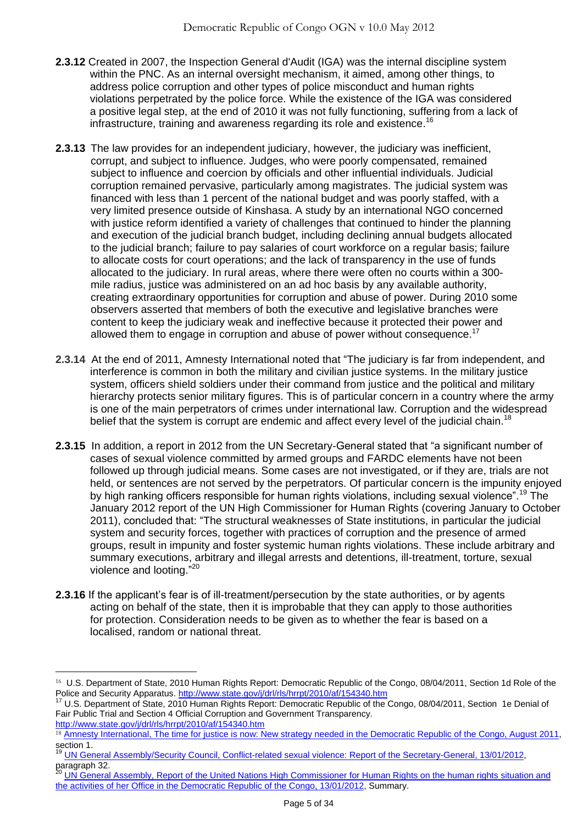- **2.3.12** Created in 2007, the Inspection General d'Audit (IGA) was the internal discipline system within the PNC. As an internal oversight mechanism, it aimed, among other things, to address police corruption and other types of police misconduct and human rights violations perpetrated by the police force. While the existence of the IGA was considered a positive legal step, at the end of 2010 it was not fully functioning, suffering from a lack of infrastructure, training and awareness regarding its role and existence.<sup>16</sup>
- **2.3.13** The law provides for an independent judiciary, however, the judiciary was inefficient, corrupt, and subject to influence. Judges, who were poorly compensated, remained subject to influence and coercion by officials and other influential individuals. Judicial corruption remained pervasive, particularly among magistrates. The judicial system was financed with less than 1 percent of the national budget and was poorly staffed, with a very limited presence outside of Kinshasa. A study by an international NGO concerned with justice reform identified a variety of challenges that continued to hinder the planning and execution of the judicial branch budget, including declining annual budgets allocated to the judicial branch; failure to pay salaries of court workforce on a regular basis; failure to allocate costs for court operations; and the lack of transparency in the use of funds allocated to the judiciary. In rural areas, where there were often no courts within a 300 mile radius, justice was administered on an ad hoc basis by any available authority, creating extraordinary opportunities for corruption and abuse of power. During 2010 some observers asserted that members of both the executive and legislative branches were content to keep the judiciary weak and ineffective because it protected their power and allowed them to engage in corruption and abuse of power without consequence.<sup>17</sup>
- **2.3.14** At the end of 2011, Amnesty International noted that "The judiciary is far from independent, and interference is common in both the military and civilian justice systems. In the military justice system, officers shield soldiers under their command from justice and the political and military hierarchy protects senior military figures. This is of particular concern in a country where the army is one of the main perpetrators of crimes under international law. Corruption and the widespread belief that the system is corrupt are endemic and affect every level of the judicial chain.<sup>18</sup>
- **2.3.15** In addition, a report in 2012 from the UN Secretary-General stated that "a significant number of cases of sexual violence committed by armed groups and FARDC elements have not been followed up through judicial means. Some cases are not investigated, or if they are, trials are not held, or sentences are not served by the perpetrators. Of particular concern is the impunity enjoyed by high ranking officers responsible for human rights violations, including sexual violence".<sup>19</sup> The January 2012 report of the UN High Commissioner for Human Rights (covering January to October 2011), concluded that: "The structural weaknesses of State institutions, in particular the judicial system and security forces, together with practices of corruption and the presence of armed groups, result in impunity and foster systemic human rights violations. These include arbitrary and summary executions, arbitrary and illegal arrests and detentions, ill-treatment, torture, sexual violence and looting."<sup>20</sup>
- **2.3.16** If the applicant's fear is of ill-treatment/persecution by the state authorities, or by agents acting on behalf of the state, then it is improbable that they can apply to those authorities for protection. Consideration needs to be given as to whether the fear is based on a localised, random or national threat.

<sup>16</sup> U.S. Department of State, 2010 Human Rights Report: Democratic Republic of the Congo, 08/04/2011, Section 1d Role of the Police and Security Apparatus.<http://www.state.gov/j/drl/rls/hrrpt/2010/af/154340.htm>

<sup>17</sup> U.S. Department of State, 2010 Human Rights Report: Democratic Republic of the Congo, 08/04/2011, Section 1e Denial of Fair Public Trial and Section 4 Official Corruption and Government Transparency.

<http://www.state.gov/j/drl/rls/hrrpt/2010/af/154340.htm>

<sup>&</sup>lt;sup>18</sup> [Amnesty International, The time for justice is now: New strategy needed in the Democratic Republic of the Congo, August 2011,](http://www.amnesty.org/en/library/asset/AFR62/006/2011/en/6cd862df-be60-418e-b70d-7d2d53a0a2d4/afr620062011en.pdf) section 1.

<sup>&</sup>lt;sup>19</sup> [UN General Assembly/Security Council, Conflict-related sexual violence: Report of the Secretary-General, 13/01/2012,](http://www.ecoi.net/file_upload/2016_1329735172_n1165018.pdf)  $\frac{1.36 \text{ m} \cdot \text{m}}{20 \text{ m} \cdot \text{m} \cdot \text{m}}$ 

<sup>20</sup> [UN General Assembly, Report of the United Nations High Commissioner for Human Rights on the](http://www.ecoi.net/file_upload/1930_1329384980_a-hrc-19-48-en.pdf) human rights situation and [the activities of her Office in the Democratic Republic of the Congo, 13/01/2012,](http://www.ecoi.net/file_upload/1930_1329384980_a-hrc-19-48-en.pdf) Summary.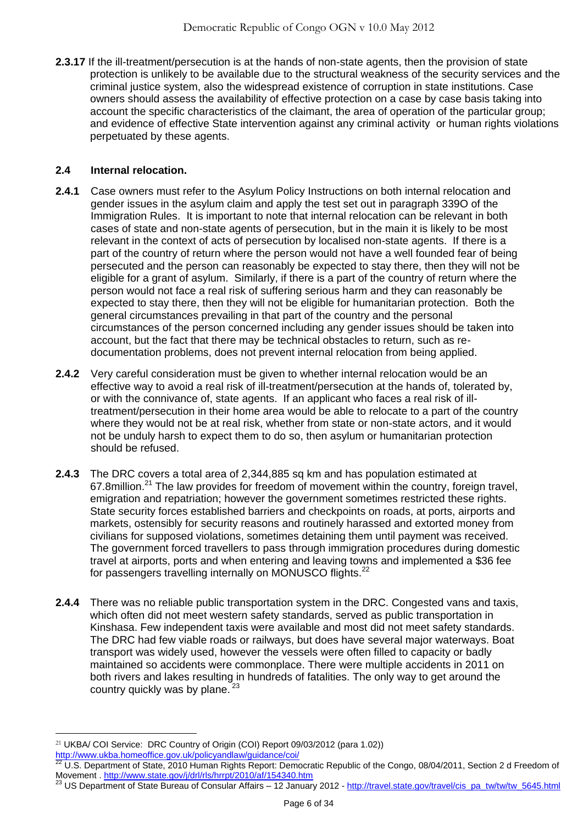**2.3.17** If the ill-treatment/persecution is at the hands of non-state agents, then the provision of state protection is unlikely to be available due to the structural weakness of the security services and the criminal justice system, also the widespread existence of corruption in state institutions. Case owners should assess the availability of effective protection on a case by case basis taking into account the specific characteristics of the claimant, the area of operation of the particular group; and evidence of effective State intervention against any criminal activity or human rights violations perpetuated by these agents.

## <span id="page-5-0"></span>**2.4 Internal relocation.**

- **2.4.1** Case owners must refer to the Asylum Policy Instructions on both internal relocation and gender issues in the asylum claim and apply the test set out in paragraph 339O of the Immigration Rules. It is important to note that internal relocation can be relevant in both cases of state and non-state agents of persecution, but in the main it is likely to be most relevant in the context of acts of persecution by localised non-state agents. If there is a part of the country of return where the person would not have a well founded fear of being persecuted and the person can reasonably be expected to stay there, then they will not be eligible for a grant of asylum. Similarly, if there is a part of the country of return where the person would not face a real risk of suffering serious harm and they can reasonably be expected to stay there, then they will not be eligible for humanitarian protection. Both the general circumstances prevailing in that part of the country and the personal circumstances of the person concerned including any gender issues should be taken into account, but the fact that there may be technical obstacles to return, such as redocumentation problems, does not prevent internal relocation from being applied.
- **2.4.2** Very careful consideration must be given to whether internal relocation would be an effective way to avoid a real risk of ill-treatment/persecution at the hands of, tolerated by, or with the connivance of, state agents. If an applicant who faces a real risk of illtreatment/persecution in their home area would be able to relocate to a part of the country where they would not be at real risk, whether from state or non-state actors, and it would not be unduly harsh to expect them to do so, then asylum or humanitarian protection should be refused.
- **2.4.3** The DRC covers a total area of 2,344,885 sq km and has population estimated at 67.8million.<sup>21</sup> The law provides for freedom of movement within the country, foreign travel, emigration and repatriation; however the government sometimes restricted these rights. State security forces established barriers and checkpoints on roads, at ports, airports and markets, ostensibly for security reasons and routinely harassed and extorted money from civilians for supposed violations, sometimes detaining them until payment was received. The government forced travellers to pass through immigration procedures during domestic travel at airports, ports and when entering and leaving towns and implemented a \$36 fee for passengers travelling internally on MONUSCO flights.<sup>22</sup>
- **2.4.4** There was no reliable public transportation system in the DRC. Congested vans and taxis, which often did not meet western safety standards, served as public transportation in Kinshasa. Few independent taxis were available and most did not meet safety standards. The DRC had few viable roads or railways, but does have several major waterways. Boat transport was widely used, however the vessels were often filled to capacity or badly maintained so accidents were commonplace. There were multiple accidents in 2011 on both rivers and lakes resulting in hundreds of fatalities. The only way to get around the country quickly was by plane.<sup>23</sup>

<http://www.ukba.homeoffice.gov.uk/policyandlaw/guidance/coi/>

 $\overline{a}$ 21 UKBA/ COI Service: DRC Country of Origin (COI) Report 09/03/2012 (para 1.02))

 $^{22}$  U.S. Department of State, 2010 Human Rights Report: Democratic Republic of the Congo, 08/04/2011, Section 2 d Freedom of Movement .<http://www.state.gov/j/drl/rls/hrrpt/2010/af/154340.htm>

<sup>&</sup>lt;sup>23</sup> US Department of State Bureau of Consular Affairs – 12 January 2012 - [http://travel.state.gov/travel/cis\\_pa\\_tw/tw/tw\\_5645.html](http://travel.state.gov/travel/cis_pa_tw/tw/tw_5645.html)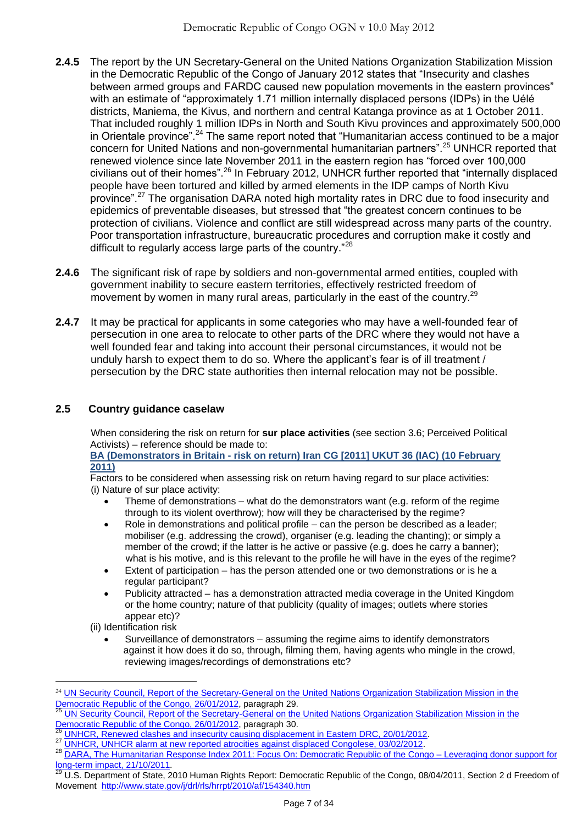- **2.4.5** The report by the UN Secretary-General on the United Nations Organization Stabilization Mission in the Democratic Republic of the Congo of January 2012 states that "Insecurity and clashes between armed groups and FARDC caused new population movements in the eastern provinces" with an estimate of "approximately 1.71 million internally displaced persons (IDPs) in the Uélé districts, Maniema, the Kivus, and northern and central Katanga province as at 1 October 2011. That included roughly 1 million IDPs in North and South Kivu provinces and approximately 500,000 in Orientale province".<sup>24</sup> The same report noted that "Humanitarian access continued to be a major concern for United Nations and non-governmental humanitarian partners".<sup>25</sup> UNHCR reported that renewed violence since late November 2011 in the eastern region has "forced over 100,000 civilians out of their homes".<sup>26</sup> In February 2012, UNHCR further reported that "internally displaced people have been tortured and killed by armed elements in the IDP camps of North Kivu province".<sup>27</sup> The organisation DARA noted high mortality rates in DRC due to food insecurity and epidemics of preventable diseases, but stressed that "the greatest concern continues to be protection of civilians. Violence and conflict are still widespread across many parts of the country. Poor transportation infrastructure, bureaucratic procedures and corruption make it costly and difficult to regularly access large parts of the country."<sup>28</sup>
- **2.4.6** The significant risk of rape by soldiers and non-governmental armed entities, coupled with government inability to secure eastern territories, effectively restricted freedom of movement by women in many rural areas, particularly in the east of the country.<sup>29</sup>
- **2.4.7** It may be practical for applicants in some categories who may have a well-founded fear of persecution in one area to relocate to other parts of the DRC where they would not have a well founded fear and taking into account their personal circumstances, it would not be unduly harsh to expect them to do so. Where the applicant's fear is of ill treatment / persecution by the DRC state authorities then internal relocation may not be possible.

# <span id="page-6-0"></span>**2.5 Country guidance caselaw**

 When considering the risk on return for **sur place activities** (see section 3.6; Perceived Political Activists) – reference should be made to:

**BA (Demonstrators in Britain - risk on return) Iran CG [2011] UKUT 36 (IAC) (10 February 2011)**

Factors to be considered when assessing risk on return having regard to sur place activities: (i) Nature of sur place activity:

- Theme of demonstrations what do the demonstrators want (e.g. reform of the regime through to its violent overthrow); how will they be characterised by the regime?
- Role in demonstrations and political profile can the person be described as a leader; mobiliser (e.g. addressing the crowd), organiser (e.g. leading the chanting); or simply a member of the crowd; if the latter is he active or passive (e.g. does he carry a banner); what is his motive, and is this relevant to the profile he will have in the eyes of the regime?
- Extent of participation has the person attended one or two demonstrations or is he a regular participant?
- Publicity attracted has a demonstration attracted media coverage in the United Kingdom or the home country; nature of that publicity (quality of images; outlets where stories appear etc)?
- (ii) Identification risk

 $\overline{a}$ 

 Surveillance of demonstrators – assuming the regime aims to identify demonstrators against it how does it do so, through, filming them, having agents who mingle in the crowd, reviewing images/recordings of demonstrations etc?

<sup>24</sup> [UN Security Council, Report of the Secretary-General on the United Nations Organization Stabilization Mission in the](http://www.ecoi.net/file_upload/1930_1332410530_n1220629.pdf)  [Democratic Republic of the Congo, 26/01/2012,](http://www.ecoi.net/file_upload/1930_1332410530_n1220629.pdf) paragraph 29.

UN Security Council, Report of the Secretary-General on the United Nations Organization Stabilization Mission in the Democratic Republic of [the Congo, 26/01/2012,](http://www.ecoi.net/file_upload/1930_1332410530_n1220629.pdf) paragraph 30.

[UNHCR, Renewed clashes and insecurity causing displacement in Eastern DRC, 20/01/2012.](http://www.unhcr.org/4f1967a19.html)

<sup>27</sup> [UNHCR, UNHCR alarm at new reported atrocities against displaced Congolese, 03/02/2012.](http://www.ecoi.net/local_link/210303/316058_en.html)

<sup>&</sup>lt;sup>28</sup> DARA, The Humanitarian [Response Index 2011: Focus On: Democratic Republic of the Congo –](http://www.internal-displacement.org/8025708F004CE90B/(httpDocuments)/33FAD067631E3D82C12579C0004AD42B/$file/HRI2011-FocusonDRC.pdf) Leveraging donor support for [long-term impact, 21/10/2011](http://www.internal-displacement.org/8025708F004CE90B/(httpDocuments)/33FAD067631E3D82C12579C0004AD42B/$file/HRI2011-FocusonDRC.pdf).

<sup>29</sup> U.S. Department of State, 2010 Human Rights Report: Democratic Republic of the Congo, 08/04/2011, Section 2 d Freedom of Movement<http://www.state.gov/j/drl/rls/hrrpt/2010/af/154340.htm>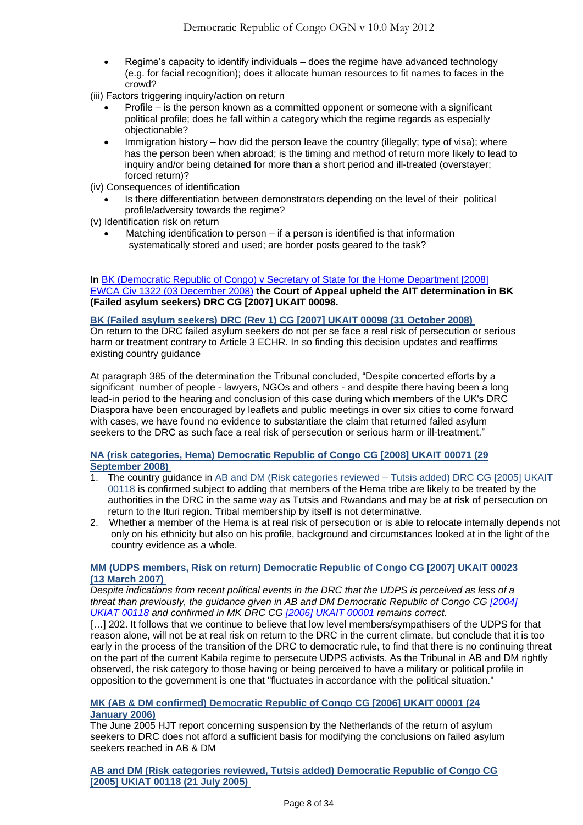- Regime's capacity to identify individuals does the regime have advanced technology (e.g. for facial recognition); does it allocate human resources to fit names to faces in the crowd?
- (iii) Factors triggering inquiry/action on return
	- Profile is the person known as a committed opponent or someone with a significant political profile; does he fall within a category which the regime regards as especially objectionable?
	- Immigration history how did the person leave the country (illegally; type of visa); where has the person been when abroad; is the timing and method of return more likely to lead to inquiry and/or being detained for more than a short period and ill-treated (overstayer; forced return)?
- (iv) Consequences of identification
- Is there differentiation between demonstrators depending on the level of their political profile/adversity towards the regime?

(v) Identification risk on return

 Matching identification to person – if a person is identified is that information systematically stored and used; are border posts geared to the task?

#### **In** [BK \(Democratic Republic of Congo\) v Secretary of State for the Home Department \[2008\]](http://www.bailii.org/cgi-bin/markup.cgi?doc=/ew/cases/EWCA/Civ/2008/1322.html&query=title+(+Bk+)&method=boolean)  [EWCA Civ 1322 \(03 December 2008\)](http://www.bailii.org/cgi-bin/markup.cgi?doc=/ew/cases/EWCA/Civ/2008/1322.html&query=title+(+Bk+)&method=boolean) **the Court of Appeal upheld the AIT determination in BK (Failed asylum seekers) DRC CG [2007] UKAIT 00098.**

#### **[BK \(Failed asylum seekers\) DRC \(Rev 1\) CG \[2007\] UKAIT 00098 \(31 October 2008\)](http://www.bailii.org/uk/cases/UKIAT/2007/00098.html)**

On return to the DRC failed asylum seekers do not per se face a real risk of persecution or serious harm or treatment contrary to Article 3 ECHR. In so finding this decision updates and reaffirms existing country guidance

At paragraph 385 of the determination the Tribunal concluded, "Despite concerted efforts by a significant number of people - lawyers, NGOs and others - and despite there having been a long lead-in period to the hearing and conclusion of this case during which members of the UK's DRC Diaspora have been encouraged by leaflets and public meetings in over six cities to come forward with cases, we have found no evidence to substantiate the claim that returned failed asylum seekers to the DRC as such face a real risk of persecution or serious harm or ill-treatment."

#### **[NA \(risk categories, Hema\) Democratic Republic of Congo CG \[2008\] UKAIT 00071 \(29](http://www.bailii.org/uk/cases/UKIAT/2008/00071.html)  [September 2008\)](http://www.bailii.org/uk/cases/UKIAT/2008/00071.html)**

- 1. The country guidance in AB and DM (Risk categories reviewed Tutsis added) DRC CG [\[2005\] UKAIT](http://www.bailii.org/uk/cases/UKIAT/2005/00118.html)  [00118](http://www.bailii.org/uk/cases/UKIAT/2005/00118.html) is confirmed subject to adding that members of the Hema tribe are likely to be treated by the authorities in the DRC in the same way as Tutsis and Rwandans and may be at risk of persecution on return to the Ituri region. Tribal membership by itself is not determinative.
- 2. Whether a member of the Hema is at real risk of persecution or is able to relocate internally depends not only on his ethnicity but also on his profile, background and circumstances looked at in the light of the country evidence as a whole.

#### **[MM \(UDPS members, Risk on return\) Democratic Republic of Congo CG \[2007\] UKAIT 00023](http://www.bailii.org/uk/cases/UKIAT/2007/00023.html)  [\(13 March 2007\)](http://www.bailii.org/uk/cases/UKIAT/2007/00023.html)**

*Despite indications from recent political events in the DRC that the UDPS is perceived as less of a threat than previously, the guidance given in AB and DM Democratic Republic of Congo CG [\[2004\]](http://www.bailii.org/uk/cases/UKIAT/2004/00118.html)  [UKIAT 00118](http://www.bailii.org/uk/cases/UKIAT/2004/00118.html) and confirmed in MK DRC CG [\[2006\] UKAIT 00001](http://www.bailii.org/uk/cases/UKIAT/2006/00001.html) remains correct.*

[...] 202. It follows that we continue to believe that low level members/sympathisers of the UDPS for that reason alone, will not be at real risk on return to the DRC in the current climate, but conclude that it is too early in the process of the transition of the DRC to democratic rule, to find that there is no continuing threat on the part of the current Kabila regime to persecute UDPS activists. As the Tribunal in AB and DM rightly observed, the risk category to those having or being perceived to have a military or political profile in opposition to the government is one that "fluctuates in accordance with the political situation."

#### **[MK \(AB & DM confirmed\) Democratic Republic of Congo CG \[2006\] UKAIT 00001 \(24](http://www.bailii.org/uk/cases/UKIAT/2006/00001.html)  [January 2006\)](http://www.bailii.org/uk/cases/UKIAT/2006/00001.html)**

The June 2005 HJT report concerning suspension by the Netherlands of the return of asylum seekers to DRC does not afford a sufficient basis for modifying the conclusions on failed asylum seekers reached in AB & DM

**[AB and DM \(Risk categories reviewed, Tutsis added\) Democratic Republic of Congo CG](http://www.bailii.org/uk/cases/UKIAT/2005/00118.html)  [\[2005\] UKIAT 00118 \(21 July 2005\)](http://www.bailii.org/uk/cases/UKIAT/2005/00118.html)**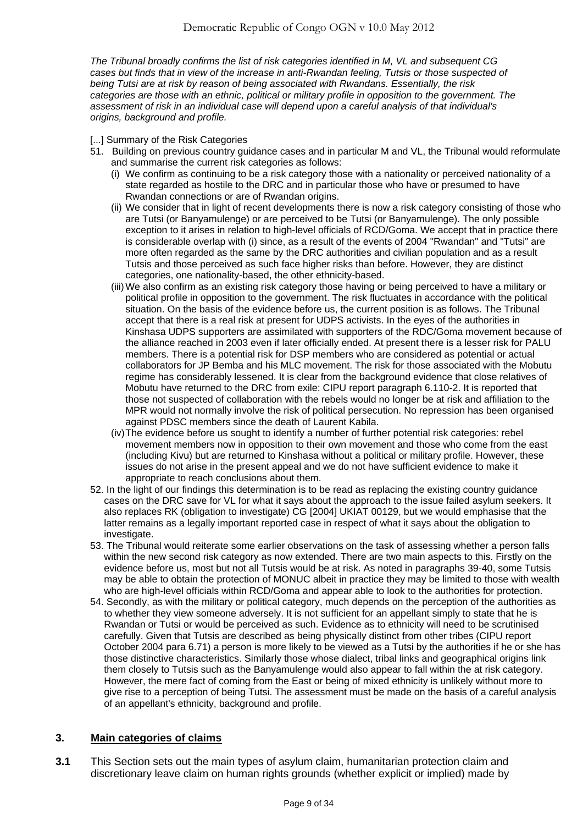*The Tribunal broadly confirms the list of risk categories identified in M, VL and subsequent CG cases but finds that in view of the increase in anti-Rwandan feeling, Tutsis or those suspected of being Tutsi are at risk by reason of being associated with Rwandans. Essentially, the risk categories are those with an ethnic, political or military profile in opposition to the government. The assessment of risk in an individual case will depend upon a careful analysis of that individual's origins, background and profile.*

- [...] Summary of the Risk Categories
- 51. Building on previous country guidance cases and in particular M and VL, the Tribunal would reformulate and summarise the current risk categories as follows:
	- (i) We confirm as continuing to be a risk category those with a nationality or perceived nationality of a state regarded as hostile to the DRC and in particular those who have or presumed to have Rwandan connections or are of Rwandan origins.
	- (ii) We consider that in light of recent developments there is now a risk category consisting of those who are Tutsi (or Banyamulenge) or are perceived to be Tutsi (or Banyamulenge). The only possible exception to it arises in relation to high-level officials of RCD/Goma. We accept that in practice there is considerable overlap with (i) since, as a result of the events of 2004 "Rwandan" and "Tutsi" are more often regarded as the same by the DRC authorities and civilian population and as a result Tutsis and those perceived as such face higher risks than before. However, they are distinct categories, one nationality-based, the other ethnicity-based.
	- (iii)We also confirm as an existing risk category those having or being perceived to have a military or political profile in opposition to the government. The risk fluctuates in accordance with the political situation. On the basis of the evidence before us, the current position is as follows. The Tribunal accept that there is a real risk at present for UDPS activists. In the eyes of the authorities in Kinshasa UDPS supporters are assimilated with supporters of the RDC/Goma movement because of the alliance reached in 2003 even if later officially ended. At present there is a lesser risk for PALU members. There is a potential risk for DSP members who are considered as potential or actual collaborators for JP Bemba and his MLC movement. The risk for those associated with the Mobutu regime has considerably lessened. It is clear from the background evidence that close relatives of Mobutu have returned to the DRC from exile: CIPU report paragraph 6.110-2. It is reported that those not suspected of collaboration with the rebels would no longer be at risk and affiliation to the MPR would not normally involve the risk of political persecution. No repression has been organised against PDSC members since the death of Laurent Kabila.
	- (iv)The evidence before us sought to identify a number of further potential risk categories: rebel movement members now in opposition to their own movement and those who come from the east (including Kivu) but are returned to Kinshasa without a political or military profile. However, these issues do not arise in the present appeal and we do not have sufficient evidence to make it appropriate to reach conclusions about them.
- 52. In the light of our findings this determination is to be read as replacing the existing country guidance cases on the DRC save for VL for what it says about the approach to the issue failed asylum seekers. It also replaces RK (obligation to investigate) CG [\[2004\] UKIAT 00129,](http://www.bailii.org/uk/cases/UKIAT/2004/00129.html) but we would emphasise that the latter remains as a legally important reported case in respect of what it says about the obligation to investigate.
- 53. The Tribunal would reiterate some earlier observations on the task of assessing whether a person falls within the new second risk category as now extended. There are two main aspects to this. Firstly on the evidence before us, most but not all Tutsis would be at risk. As noted in paragraphs 39-40, some Tutsis may be able to obtain the protection of MONUC albeit in practice they may be limited to those with wealth who are high-level officials within RCD/Goma and appear able to look to the authorities for protection.
- 54. Secondly, as with the military or political category, much depends on the perception of the authorities as to whether they view someone adversely. It is not sufficient for an appellant simply to state that he is Rwandan or Tutsi or would be perceived as such. Evidence as to ethnicity will need to be scrutinised carefully. Given that Tutsis are described as being physically distinct from other tribes (CIPU report October 2004 para 6.71) a person is more likely to be viewed as a Tutsi by the authorities if he or she has those distinctive characteristics. Similarly those whose dialect, tribal links and geographical origins link them closely to Tutsis such as the Banyamulenge would also appear to fall within the at risk category. However, the mere fact of coming from the East or being of mixed ethnicity is unlikely without more to give rise to a perception of being Tutsi. The assessment must be made on the basis of a careful analysis of an appellant's ethnicity, background and profile.

## **3. Main categories of claims**

**3.1** This Section sets out the main types of asylum claim, humanitarian protection claim and discretionary leave claim on human rights grounds (whether explicit or implied) made by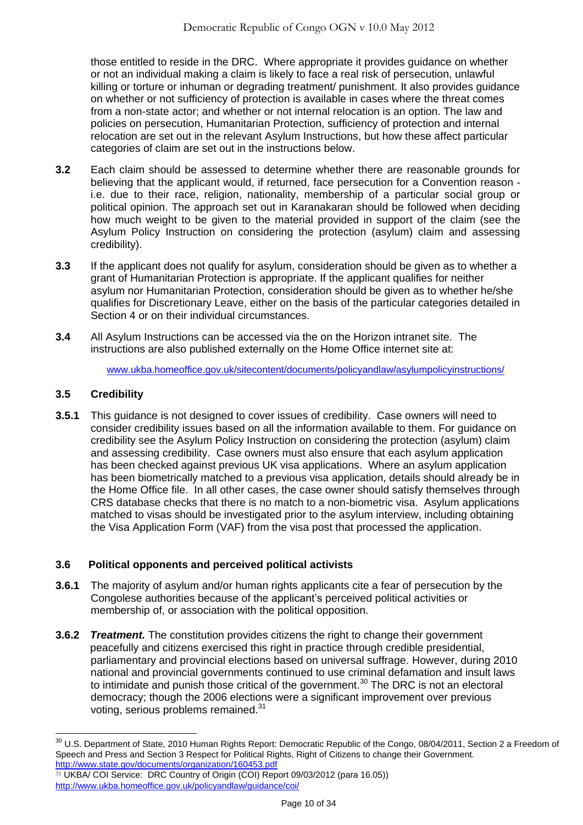those entitled to reside in the DRC. Where appropriate it provides guidance on whether or not an individual making a claim is likely to face a real risk of persecution, unlawful killing or torture or inhuman or degrading treatment/ punishment. It also provides guidance on whether or not sufficiency of protection is available in cases where the threat comes from a non-state actor; and whether or not internal relocation is an option. The law and policies on persecution, Humanitarian Protection, sufficiency of protection and internal relocation are set out in the relevant Asylum Instructions, but how these affect particular categories of claim are set out in the instructions below.

- **3.2** Each claim should be assessed to determine whether there are reasonable grounds for believing that the applicant would, if returned, face persecution for a Convention reason i.e. due to their race, religion, nationality, membership of a particular social group or political opinion. The approach set out in Karanakaran should be followed when deciding how much weight to be given to the material provided in support of the claim (see the Asylum Policy Instruction on considering the protection (asylum) claim and assessing credibility).
- **3.3** If the applicant does not qualify for asylum, consideration should be given as to whether a grant of Humanitarian Protection is appropriate. If the applicant qualifies for neither asylum nor Humanitarian Protection, consideration should be given as to whether he/she qualifies for Discretionary Leave, either on the basis of the particular categories detailed in Section 4 or on their individual circumstances.
- **3.4** All Asylum Instructions can be accessed via the on the Horizon intranet site. The instructions are also published externally on the Home Office internet site at:

[www.ukba.homeoffice.gov.uk/sitecontent/documents/policyandlaw/asylumpolicyinstructions/](http://www.ukba.homeoffice.gov.uk/sitecontent/documents/policyandlaw/asylumpolicyinstructions/)

# **3.5 Credibility**

**3.5.1** This guidance is not designed to cover issues of credibility. Case owners will need to consider credibility issues based on all the information available to them. For guidance on credibility see the Asylum Policy Instruction on considering the protection (asylum) claim and assessing credibility. Case owners must also ensure that each asylum application has been checked against previous UK visa applications. Where an asylum application has been biometrically matched to a previous visa application, details should already be in the Home Office file. In all other cases, the case owner should satisfy themselves through CRS database checks that there is no match to a non-biometric visa. Asylum applications matched to visas should be investigated prior to the asylum interview, including obtaining the Visa Application Form (VAF) from the visa post that processed the application.

# **3.6 Political opponents and perceived political activists**

- **3.6.1** The majority of asylum and/or human rights applicants cite a fear of persecution by the Congolese authorities because of the applicant's perceived political activities or membership of, or association with the political opposition.
- **3.6.2** *Treatment.* The constitution provides citizens the right to change their government peacefully and citizens exercised this right in practice through credible presidential, parliamentary and provincial elections based on universal suffrage. However, during 2010 national and provincial governments continued to use criminal defamation and insult laws to intimidate and punish those critical of the government.<sup>30</sup> The DRC is not an electoral democracy; though the 2006 elections were a significant improvement over previous voting, serious problems remained.<sup>31</sup>

 $\overline{a}$  $30$  U.S. Department of State, 2010 Human Rights Report: Democratic Republic of the Congo, 08/04/2011, Section 2 a Freedom of Speech and Press and Section 3 Respect for Political Rights, Right of Citizens to change their Government. <http://www.state.gov/documents/organization/160453.pdf>

<sup>31</sup> UKBA/ COI Service: DRC Country of Origin (COI) Report 09/03/2012 (para 16.05)) <http://www.ukba.homeoffice.gov.uk/policyandlaw/guidance/coi/>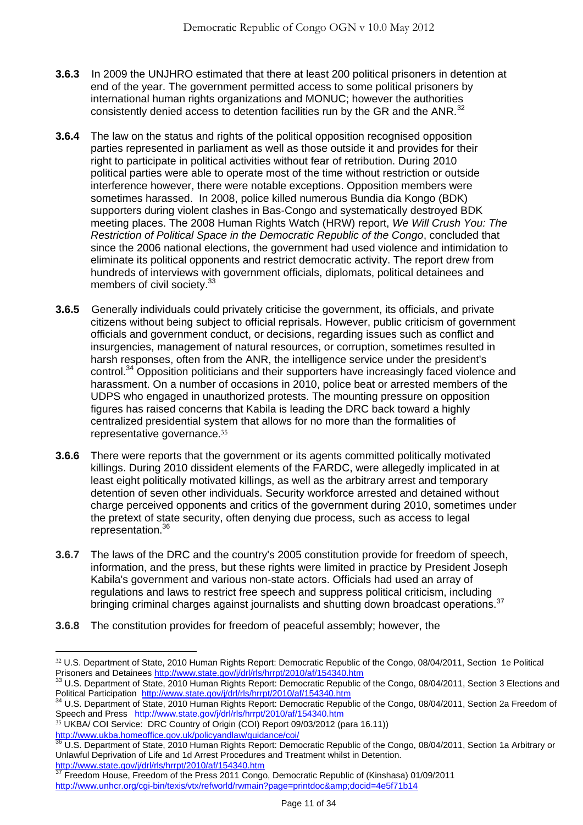- **3.6.3** In 2009 the UNJHRO estimated that there at least 200 political prisoners in detention at end of the year. The government permitted access to some political prisoners by international human rights organizations and MONUC; however the authorities consistently denied access to detention facilities run by the GR and the ANR.<sup>32</sup>
- **3.6.4** The law on the status and rights of the political opposition recognised opposition parties represented in parliament as well as those outside it and provides for their right to participate in political activities without fear of retribution. During 2010 political parties were able to operate most of the time without restriction or outside interference however, there were notable exceptions. Opposition members were sometimes harassed. In 2008, police killed numerous Bundia dia Kongo (BDK) supporters during violent clashes in Bas-Congo and systematically destroyed BDK meeting places. The 2008 Human Rights Watch (HRW) report, *We Will Crush You: The Restriction of Political Space in the Democratic Republic of the Congo*, concluded that since the 2006 national elections, the government had used violence and intimidation to eliminate its political opponents and restrict democratic activity. The report drew from hundreds of interviews with government officials, diplomats, political detainees and members of civil society.<sup>33</sup>
- **3.6.5** Generally individuals could privately criticise the government, its officials, and private citizens without being subject to official reprisals. However, public criticism of government officials and government conduct, or decisions, regarding issues such as conflict and insurgencies, management of natural resources, or corruption, sometimes resulted in harsh responses, often from the ANR, the intelligence service under the president's control.<sup>34</sup> Opposition politicians and their supporters have increasingly faced violence and harassment. On a number of occasions in 2010, police beat or arrested members of the UDPS who engaged in unauthorized protests. The mounting pressure on opposition figures has raised concerns that Kabila is leading the DRC back toward a highly centralized presidential system that allows for no more than the formalities of representative governance. 35
- **3.6.6** There were reports that the government or its agents committed politically motivated killings. During 2010 dissident elements of the FARDC, were allegedly implicated in at least eight politically motivated killings, as well as the arbitrary arrest and temporary detention of seven other individuals. Security workforce arrested and detained without charge perceived opponents and critics of the government during 2010, sometimes under the pretext of state security, often denying due process, such as access to legal representation. 36
- **3.6.7** The laws of the DRC and the country's 2005 constitution provide for freedom of speech, information, and the press, but these rights were limited in practice by President Joseph Kabila's government and various non-state actors. Officials had used an array of regulations and laws to restrict free speech and suppress political criticism, including bringing criminal charges against journalists and shutting down broadcast operations.<sup>37</sup>
- **3.6.8** The constitution provides for freedom of peaceful assembly; however, the

<sup>32</sup> U.S. Department of State, 2010 Human Rights Report: Democratic Republic of the Congo, 08/04/2011, Section 1e Political Prisoners and Detainees<http://www.state.gov/j/drl/rls/hrrpt/2010/af/154340.htm>

<sup>&</sup>lt;sup>33</sup> U.S. Department of State, 2010 Human Rights Report: Democratic Republic of the Congo, 08/04/2011, Section 3 Elections and Political Participation<http://www.state.gov/j/drl/rls/hrrpt/2010/af/154340.htm>

<sup>34</sup> U.S. Department of State, 2010 Human Rights Report: Democratic Republic of the Congo, 08/04/2011, Section 2a Freedom of Speech and Press <http://www.state.gov/j/drl/rls/hrrpt/2010/af/154340.htm>

<sup>35</sup> UKBA/ COI Service: DRC Country of Origin (COI) Report 09/03/2012 (para 16.11)) <http://www.ukba.homeoffice.gov.uk/policyandlaw/guidance/coi/><br>36 LLS Department of Current Control of Current Current of Current Current of Current Current of Current Of

<sup>36</sup> U.S. Department of State, 2010 Human Rights Report: Democratic Republic of the Congo, 08/04/2011, Section 1a Arbitrary or Unlawful Deprivation of Life and 1d Arrest Procedures and Treatment whilst in Detention. <http://www.state.gov/j/drl/rls/hrrpt/2010/af/154340.htm>

<sup>37</sup> Freedom House, Freedom of the Press 2011 Congo, Democratic Republic of (Kinshasa) 01/09/2011 <http://www.unhcr.org/cgi-bin/texis/vtx/refworld/rwmain?page=printdoc&docid=4e5f71b14>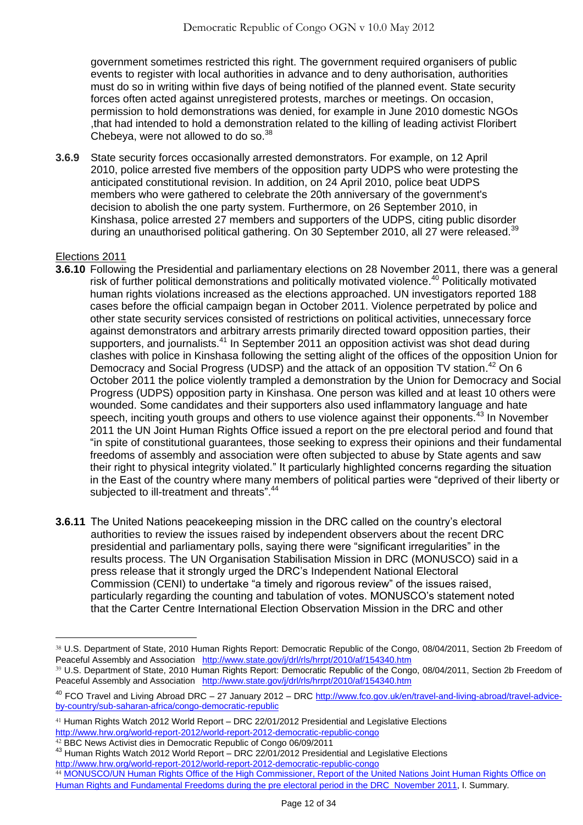government sometimes restricted this right. The government required organisers of public events to register with local authorities in advance and to deny authorisation, authorities must do so in writing within five days of being notified of the planned event. State security forces often acted against unregistered protests, marches or meetings. On occasion, permission to hold demonstrations was denied, for example in June 2010 domestic NGOs ,that had intended to hold a demonstration related to the killing of leading activist Floribert Chebeya, were not allowed to do so.<sup>38</sup>

**3.6.9** State security forces occasionally arrested demonstrators. For example, on 12 April 2010, police arrested five members of the opposition party UDPS who were protesting the anticipated constitutional revision. In addition, on 24 April 2010, police beat UDPS members who were gathered to celebrate the 20th anniversary of the government's decision to abolish the one party system. Furthermore, on 26 September 2010, in Kinshasa, police arrested 27 members and supporters of the UDPS, citing public disorder during an unauthorised political gathering. On 30 September 2010, all 27 were released.<sup>39</sup>

## Elections 2011

- **3.6.10** Following the Presidential and parliamentary elections on 28 November 2011, there was a general risk of further political demonstrations and politically motivated violence. <sup>40</sup> Politically motivated human rights violations increased as the elections approached. UN investigators reported 188 cases before the official campaign began in October 2011. Violence perpetrated by police and other state security services consisted of restrictions on political activities, unnecessary force against demonstrators and arbitrary arrests primarily directed toward opposition parties, their supporters, and journalists.<sup>41</sup> In September 2011 an opposition activist was shot dead during clashes with police in Kinshasa following the setting alight of the offices of the opposition Union for Democracy and Social Progress (UDSP) and the attack of an opposition TV station.<sup>42</sup> On 6 October 2011 the police violently trampled a demonstration by the Union for Democracy and Social Progress (UDPS) opposition party in Kinshasa. One person was killed and at least 10 others were wounded. Some candidates and their supporters also used inflammatory language and hate speech, inciting youth groups and others to use violence against their opponents.<sup>43</sup> In November 2011 the UN Joint Human Rights Office issued a report on the pre electoral period and found that ―in spite of constitutional guarantees, those seeking to express their opinions and their fundamental freedoms of assembly and association were often subjected to abuse by State agents and saw their right to physical integrity violated." It particularly highlighted concerns regarding the situation in the East of the country where many members of political parties were "deprived of their liberty or subjected to ill-treatment and threats".<sup>44</sup>
- **3.6.11** The United Nations peacekeeping mission in the DRC called on the country's electoral authorities to review the issues raised by independent observers about the recent DRC presidential and parliamentary polls, saying there were "significant irregularities" in the results process. The UN Organisation Stabilisation Mission in DRC [\(MONUSCO\)](http://www.unhcr.org/en/peacekeeping/missions/monusco/) said in a [press release](http://monusco.unmissions.org/Default.aspx?tabid=4640&ctl=Details&mid=5262&ItemID=15947) that it strongly urged the DRC's Independent National Electoral Commission (CENI) to undertake "a timely and rigorous review" of the issues raised, particularly regarding the counting and tabulation of votes. MONUSCO's statement noted that the Carter Centre International Election Observation Mission in the DRC and other

 $\overline{a}$ 38 U.S. Department of State, 2010 Human Rights Report: Democratic Republic of the Congo, 08/04/2011, Section 2b Freedom of Peaceful Assembly and Association <http://www.state.gov/j/drl/rls/hrrpt/2010/af/154340.htm>

<sup>39</sup> U.S. Department of State, 2010 Human Rights Report: Democratic Republic of the Congo, 08/04/2011, Section 2b Freedom of Peaceful Assembly and Association <http://www.state.gov/j/drl/rls/hrrpt/2010/af/154340.htm>

<sup>&</sup>lt;sup>40</sup> FCO Travel and Living Abroad DRC - 27 January 2012 - DRC [http://www.fco.gov.uk/en/travel-and-living-abroad/travel-advice](http://www.fco.gov.uk/en/travel-and-living-abroad/travel-advice-by-country/sub-saharan-africa/congo-democratic-republic)[by-country/sub-saharan-africa/congo-democratic-republic](http://www.fco.gov.uk/en/travel-and-living-abroad/travel-advice-by-country/sub-saharan-africa/congo-democratic-republic)

<sup>41</sup> Human Rights Watch 2012 World Report – DRC 22/01/2012 Presidential and Legislative Elections <http://www.hrw.org/world-report-2012/world-report-2012-democratic-republic-congo>

<sup>42</sup> BBC News Activist dies in Democratic Republic of Congo 06/09/2011

<sup>&</sup>lt;sup>43</sup> Human Rights Watch 2012 World Report – DRC 22/01/2012 Presidential and Legislative Elections

<http://www.hrw.org/world-report-2012/world-report-2012-democratic-republic-congo>

<sup>44</sup> MONUSCO/UN Human Rights Office of the High Commissioner, Report of the United Nations Joint Human Rights Office on [Human Rights and Fundamental Freedoms during the pre electoral period in the DRC November 2011,](http://www.ecoi.net/file_upload/2016_1324900489_http-monusco-unmissions-org-linkclick.pdf) I. Summary.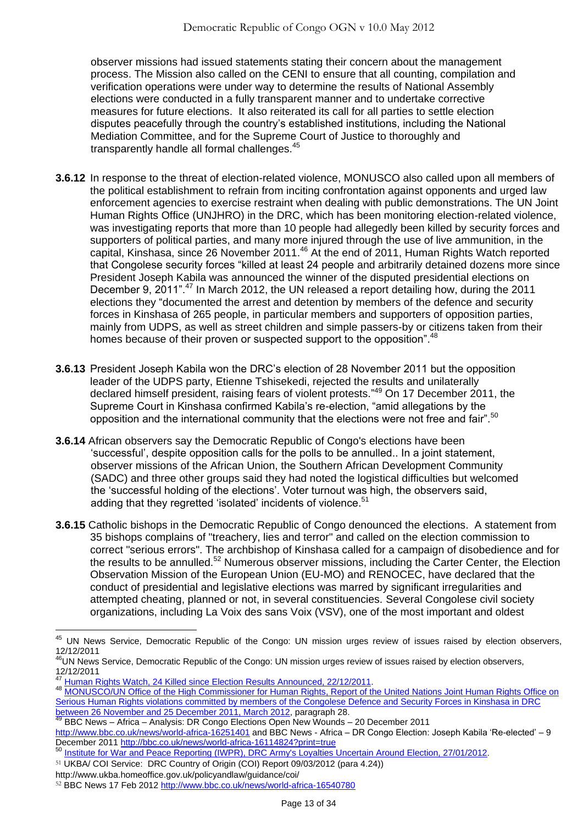observer missions had issued statements stating their concern about the management process. The Mission also called on the CENI to ensure that all counting, compilation and verification operations were under way to determine the results of National Assembly elections were conducted in a fully transparent manner and to undertake corrective measures for future elections. It also reiterated its call for all parties to settle election disputes peacefully through the country's established institutions, including the National Mediation Committee, and for the Supreme Court of Justice to thoroughly and transparently handle all formal challenges.<sup>45</sup>

- **3.6.12** In response to the threat of election-related violence, MONUSCO also called upon all members of the political establishment to refrain from inciting confrontation against opponents and urged law enforcement agencies to exercise restraint when dealing with public demonstrations. The UN Joint Human Rights Office (UNJHRO) in the DRC, which has been monitoring election-related violence, was investigating reports that more than 10 people had allegedly been killed by security forces and supporters of political parties, and many more injured through the use of live ammunition, in the capital, Kinshasa, since 26 November 2011.<sup>46</sup> At the end of 2011, Human Rights Watch reported that Congolese security forces "killed at least 24 people and arbitrarily detained dozens more since President Joseph Kabila was announced the winner of the disputed presidential elections on December 9, 2011".<sup>47</sup> In March 2012, the UN released a report detailing how, during the 2011 elections they "documented the arrest and detention by members of the defence and security forces in Kinshasa of 265 people, in particular members and supporters of opposition parties, mainly from UDPS, as well as street children and simple passers-by or citizens taken from their homes because of their proven or suspected support to the opposition". <sup>48</sup>
- **3.6.13** President Joseph Kabila won the DRC's election of 28 November 2011 but the opposition leader of the UDPS party, Etienne Tshisekedi, rejected the results and unilaterally declared himself president, raising fears of violent protests."<sup>49</sup> On 17 December 2011, the Supreme Court in Kinshasa confirmed Kabila's re-election, "amid allegations by the opposition and the international community that the elections were not free and fair".<sup>50</sup>
- **3.6.14** African observers say the Democratic Republic of Congo's elections have been ‗successful', despite opposition calls for the polls to be annulled.. In a joint statement, observer missions of the African Union, the Southern African Development Community (SADC) and three other groups said they had noted the logistical difficulties but welcomed the 'successful holding of the elections'. Voter turnout was high, the observers said, adding that they regretted 'isolated' incidents of violence.<sup>51</sup>
- **3.6.15** Catholic bishops in the Democratic Republic of Congo denounced the elections. A statement from 35 bishops complains of "treachery, lies and terror" and called on the election commission to correct "serious errors". The archbishop of Kinshasa called for a campaign of disobedience and for the results to be annulled.<sup>52</sup> Numerous observer missions, including the Carter Center, the Election Observation Mission of the European Union (EU-MO) and RENOCEC, have declared that the conduct of presidential and legislative elections was marred by significant irregularities and attempted cheating, planned or not, in several constituencies. Several Congolese [civil society](http://www.osisa.org/hrdb/regional/integrating-angola-sadc-myth-or-reality) organizations, including La Voix des sans Voix (VSV), one of the most important and oldest

http://www.ukba.homeoffice.gov.uk/policyandlaw/guidance/coi/

<sup>&</sup>lt;sup>45</sup> UN News Service, Democratic Republic of the Congo: UN mission urges review of issues raised by election observers, 12/12/2011

<sup>&</sup>lt;sup>46</sup>UN News Service, Democratic Republic of the Congo: UN mission urges review of issues raised by election observers, 12/12/2011

<sup>47</sup> [Human Rights Watch, 24 Killed since Election Results Announced, 22/12/2011.](http://www.ecoi.net/local_link/207705/313156_en.html)

<sup>48</sup> MONUSCO/UN Office of the High Commissioner for Human Rights, Report of the United Nations Joint Human Rights Office on [Serious Human Rights violations committed by members of the Congolese Defence and Security Forces in Kinshasa in DRC](http://www.ohchr.org/Documents/Countries/ZR/ReportDRC_26Nov_25Dec2011_en.pdf)  [between 26 November and 25 December 2011, March 2012,](http://www.ohchr.org/Documents/Countries/ZR/ReportDRC_26Nov_25Dec2011_en.pdf) paragraph 28.

<sup>49</sup> BBC News – Africa – Analysis: DR Congo Elections Open New Wounds – 20 December 2011

<http://www.bbc.co.uk/news/world-africa-16251401> and BBC News - Africa – DR Congo Election: Joseph Kabila 'Re-elected' – 9 December 2011<http://bbc.co.uk/news/world-africa-16114824?print=true>

<sup>50</sup> [Institute for War and Peace Reporting \(IWPR\), DRC Army's Loyalties Uncertain Around Election, 27/01/2012](http://www.ecoi.net/local_link/210109/315844_en.html).

<sup>51</sup> UKBA/ COI Service: DRC Country of Origin (COI) Report 09/03/2012 (para 4.24))

<sup>52</sup> BBC News 17 Feb 2012<http://www.bbc.co.uk/news/world-africa-16540780>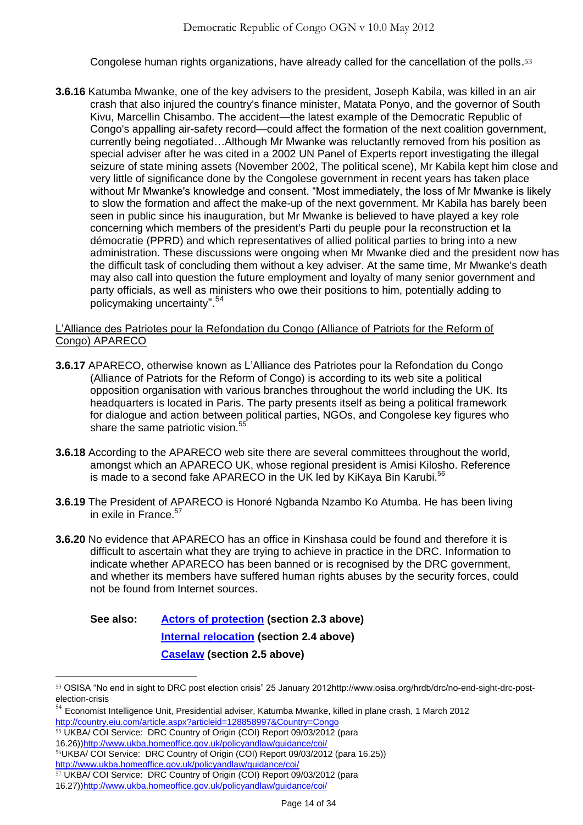Congolese human rights organizations, have already called for the cancellation of the polls. 53

**3.6.16** Katumba Mwanke, one of the key advisers to the president, Joseph Kabila, was killed in an air crash that also injured the country's finance minister, Matata Ponyo, and the governor of South Kivu, Marcellin Chisambo. The accident—the latest example of the Democratic Republic of Congo's appalling air-safety record—could affect the formation of the next coalition government, currently being negotiated…Although Mr Mwanke was reluctantly removed from his position as special adviser after he was cited in a 2002 UN Panel of Experts report investigating the illegal seizure of state mining assets (November 2002, The political scene), Mr Kabila kept him close and very little of significance done by the Congolese government in recent years has taken place without Mr Mwanke's knowledge and consent. "Most immediately, the loss of Mr Mwanke is likely to slow the formation and affect the make-up of the next government. Mr Kabila has barely been seen in public since his inauguration, but Mr Mwanke is believed to have played a key role concerning which members of the president's Parti du peuple pour la reconstruction et la démocratie (PPRD) and which representatives of allied political parties to bring into a new administration. These discussions were ongoing when Mr Mwanke died and the president now has the difficult task of concluding them without a key adviser. At the same time, Mr Mwanke's death may also call into question the future employment and loyalty of many senior government and party officials, as well as ministers who owe their positions to him, potentially adding to policymaking uncertainty".<sup>54</sup>

## L'Alliance des Patriotes pour la Refondation du Congo (Alliance of Patriots for the Reform of Congo) APARECO

- **3.6.17** APARECO, otherwise known as L'Alliance des Patriotes pour la Refondation du Congo (Alliance of Patriots for the Reform of Congo) is according to its web site a political opposition organisation with various branches throughout the world including the UK. Its headquarters is located in Paris. The party presents itself as being a political framework for dialogue and action between political parties, NGOs, and Congolese key figures who share the same patriotic vision.<sup>55</sup>
- **3.6.18** According to the APARECO web site there are several committees throughout the world, amongst which an APARECO UK, whose regional president is Amisi Kilosho. Reference is made to a second fake APARECO in the UK led by KiKaya Bin Karubi.<sup>56</sup>
- **3.6.19** The President of APARECO is Honoré Ngbanda Nzambo Ko Atumba. He has been living in exile in France. $57$
- **3.6.20** No evidence that APARECO has an office in Kinshasa could be found and therefore it is difficult to ascertain what they are trying to achieve in practice in the DRC. Information to indicate whether APARECO has been banned or is recognised by the DRC government, and whether its members have suffered human rights abuses by the security forces, could not be found from Internet sources.

# **See also: [Actors of protection](#page-1-1) (section 2.3 above) [Internal relocation](#page-5-0) (section 2.4 above) [Caselaw](#page-6-0) (section 2.5 above)**

<sup>53</sup> OSISA "No end in sight to DRC post election crisis" 25 January 2012http://www.osisa.org/hrdb/drc/no-end-sight-drc-postelection-crisis

 $54$  Economist Intelligence Unit, Presidential adviser, Katumba Mwanke, killed in plane crash, 1 March 2012 <http://country.eiu.com/article.aspx?articleid=128858997&Country=Congo>

<sup>55</sup> UKBA/ COI Service: DRC Country of Origin (COI) Report 09/03/2012 (para

<sup>16.26)</sup>[\)http://www.ukba.homeoffice.gov.uk/policyandlaw/guidance/coi/](http://www.ukba.homeoffice.gov.uk/policyandlaw/guidance/coi/)

<sup>56</sup>UKBA/ COI Service: DRC Country of Origin (COI) Report 09/03/2012 (para 16.25))

<http://www.ukba.homeoffice.gov.uk/policyandlaw/guidance/coi/>

<sup>57</sup> UKBA/ COI Service: DRC Country of Origin (COI) Report 09/03/2012 (para

<sup>16.27)</sup>[\)http://www.ukba.homeoffice.gov.uk/policyandlaw/guidance/coi/](http://www.ukba.homeoffice.gov.uk/policyandlaw/guidance/coi/)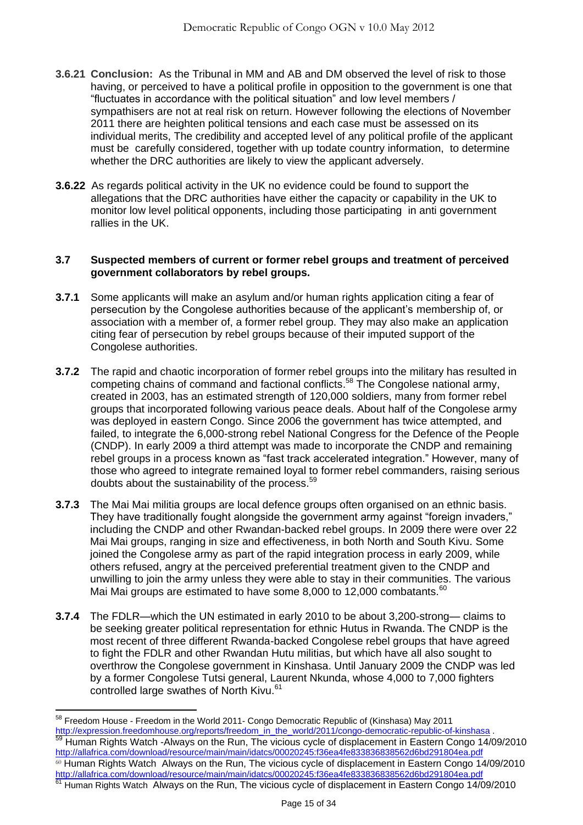- **3.6.21 Conclusion:** As the Tribunal in MM and AB and DM observed the level of risk to those having, or perceived to have a political profile in opposition to the government is one that ―fluctuates in accordance with the political situation‖ and low level members / sympathisers are not at real risk on return. However following the elections of November 2011 there are heighten political tensions and each case must be assessed on its individual merits, The credibility and accepted level of any political profile of the applicant must be carefully considered, together with up todate country information, to determine whether the DRC authorities are likely to view the applicant adversely.
- **3.6.22** As regards political activity in the UK no evidence could be found to support the allegations that the DRC authorities have either the capacity or capability in the UK to monitor low level political opponents, including those participating in anti government rallies in the UK.

#### **3.7 Suspected members of current or former rebel groups and treatment of perceived government collaborators by rebel groups.**

- **3.7.1** Some applicants will make an asylum and/or human rights application citing a fear of persecution by the Congolese authorities because of the applicant's membership of, or association with a member of, a former rebel group. They may also make an application citing fear of persecution by rebel groups because of their imputed support of the Congolese authorities.
- **3.7.2** The rapid and chaotic incorporation of former rebel groups into the military has resulted in competing chains of command and factional conflicts.<sup>58</sup> The Congolese national army, created in 2003, has an estimated strength of 120,000 soldiers, many from former rebel groups that incorporated following various peace deals. About half of the Congolese army was deployed in eastern Congo. Since 2006 the government has twice attempted, and failed, to integrate the 6,000-strong rebel National Congress for the Defence of the People (CNDP). In early 2009 a third attempt was made to incorporate the CNDP and remaining rebel groups in a process known as "fast track accelerated integration." However, many of those who agreed to integrate remained loyal to former rebel commanders, raising serious doubts about the sustainability of the process.<sup>59</sup>
- **3.7.3** The Mai Mai militia groups are local defence groups often organised on an ethnic basis. They have traditionally fought alongside the government army against "foreign invaders," including the CNDP and other Rwandan-backed rebel groups. In 2009 there were over 22 Mai Mai groups, ranging in size and effectiveness, in both North and South Kivu. Some joined the Congolese army as part of the rapid integration process in early 2009, while others refused, angry at the perceived preferential treatment given to the CNDP and unwilling to join the army unless they were able to stay in their communities. The various Mai Mai groups are estimated to have some 8,000 to 12,000 combatants.<sup>60</sup>
- **3.7.4** The FDLR—which the UN estimated in early 2010 to be about 3,200-strong— claims to be seeking greater political representation for ethnic Hutus in Rwanda. The CNDP is the most recent of three different Rwanda-backed Congolese rebel groups that have agreed to fight the FDLR and other Rwandan Hutu militias, but which have all also sought to overthrow the Congolese government in Kinshasa. Until January 2009 the CNDP was led by a former Congolese Tutsi general, Laurent Nkunda, whose 4,000 to 7,000 fighters controlled large swathes of North Kivu.<sup>61</sup>

 $\overline{a}$ 

<http://allafrica.com/download/resource/main/main/idatcs/00020245:f36ea4fe833836838562d6bd291804ea.pdf> 1100//allahtica.com/download/resource/mail@natious.com/download/resource-newspatch Congo 14/09/2010

 $^{58}$  Freedom House - Freedom in the World 2011- Congo Democratic Republic of (Kinshasa) May 2011 [http://expression.freedomhouse.org/reports/freedom\\_in\\_the\\_world/2011/congo-democratic-republic-of-kinshasa](http://expression.freedomhouse.org/reports/freedom_in_the_world/2011/congo-democratic-republic-of-kinshasa) .

<sup>&</sup>lt;sup>59</sup> Human Rights Watch -Always on the Run, The vicious cycle of displacement in Eastern Congo 14/09/2010 <http://allafrica.com/download/resource/main/main/idatcs/00020245:f36ea4fe833836838562d6bd291804ea.pdf> <sup>60</sup> Human Rights Watch Always on the Run, The vicious cycle of displacement in Eastern Congo 14/09/2010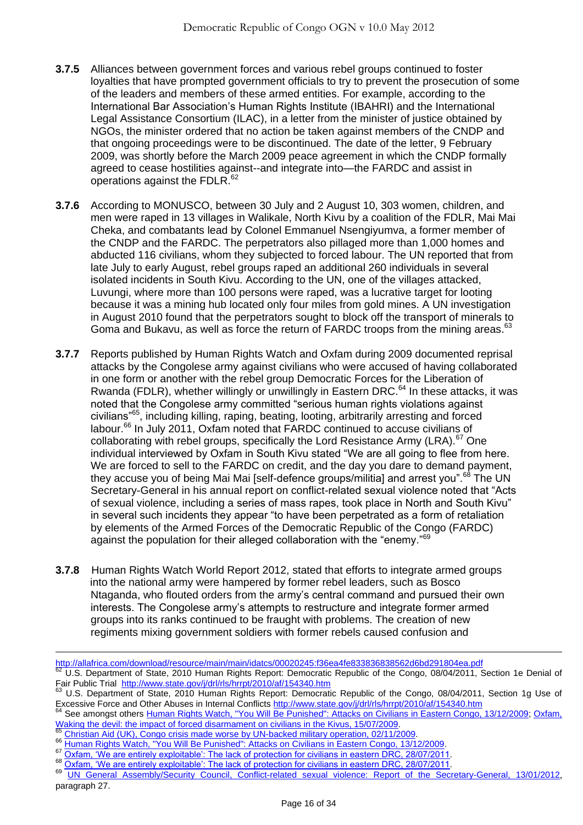- **3.7.5** Alliances between government forces and various rebel groups continued to foster loyalties that have prompted government officials to try to prevent the prosecution of some of the leaders and members of these armed entities. For example, according to the International Bar Association's Human Rights Institute (IBAHRI) and the International Legal Assistance Consortium (ILAC), in a letter from the minister of justice obtained by NGOs, the minister ordered that no action be taken against members of the CNDP and that ongoing proceedings were to be discontinued. The date of the letter, 9 February 2009, was shortly before the March 2009 peace agreement in which the CNDP formally agreed to cease hostilities against--and integrate into—the FARDC and assist in operations against the FDLR.<sup>62</sup>
- **3.7.6** According to MONUSCO, between 30 July and 2 August 10, 303 women, children, and men were raped in 13 villages in Walikale, North Kivu by a coalition of the FDLR, Mai Mai Cheka, and combatants lead by Colonel Emmanuel Nsengiyumva, a former member of the CNDP and the FARDC. The perpetrators also pillaged more than 1,000 homes and abducted 116 civilians, whom they subjected to forced labour. The UN reported that from late July to early August, rebel groups raped an additional 260 individuals in several isolated incidents in South Kivu. According to the UN, one of the villages attacked, Luvungi, where more than 100 persons were raped, was a lucrative target for looting because it was a mining hub located only four miles from gold mines. A UN investigation in August 2010 found that the perpetrators sought to block off the transport of minerals to Goma and Bukavu, as well as force the return of FARDC troops from the mining areas.<sup>63</sup>
- **3.7.7** Reports published by Human Rights Watch and Oxfam during 2009 documented reprisal attacks by the Congolese army against civilians who were accused of having collaborated in one form or another with the rebel group Democratic Forces for the Liberation of Rwanda (FDLR), whether willingly or unwillingly in Eastern DRC.<sup>64</sup> In these attacks, it was noted that the Congolese army committed "serious human rights violations against civilians<sup>"65</sup>, including killing, raping, beating, looting, arbitrarily arresting and forced labour.<sup>66</sup> In July 2011, Oxfam noted that FARDC continued to accuse civilians of collaborating with rebel groups, specifically the Lord Resistance Army (LRA).<sup>67</sup> One individual interviewed by Oxfam in South Kivu stated "We are all going to flee from here. We are forced to sell to the FARDC on credit, and the day you dare to demand payment, they accuse you of being Mai Mai [self-defence groups/militia] and arrest you".<sup>68</sup> The UN Secretary-General in his annual report on conflict-related sexual violence noted that "Acts of sexual violence, including a series of mass rapes, took place in North and South Kivu" in several such incidents they appear "to have been perpetrated as a form of retaliation by elements of the Armed Forces of the Democratic Republic of the Congo (FARDC) against the population for their alleged collaboration with the "enemy."<sup>69</sup>
- **3.7.8** Human Rights Watch World Report 2012, stated that efforts to integrate armed groups into the national army were hampered by former rebel leaders, such as Bosco Ntaganda, who flouted orders from the army's central command and pursued their own interests. The Congolese army's attempts to restructure and integrate former armed groups into its ranks continued to be fraught with problems. The creation of new regiments mixing government soldiers with former rebels caused confusion and

64 See amongst others [Human Rights Watch, "You Will Be Punished": Attacks on Civilians in Eastern Congo, 13/12/2009;](http://www.hrw.org/reports/2009/12/14/you-will-be-punished-0) Oxfam, [Waking the devil: the impact of forced disarmament on civilians in the Kivus, 15/07/2009.](http://www.oxfam.org/policy/drc-waking-the-devil)

<http://allafrica.com/download/resource/main/main/idatcs/00020245:f36ea4fe833836838562d6bd291804ea.pdf>

<sup>62</sup> U.S. Department of State, 2010 Human Rights Report: Democratic Republic of the Congo, 08/04/2011, Section 1e Denial of Fair Public Trial <http://www.state.gov/j/drl/rls/hrrpt/2010/af/154340.htm>

<sup>63</sup> U.S. Department of State, 2010 Human Rights Report: Democratic Republic of the Congo, 08/04/2011, Section 1g Use of Excessive Force and Other Abuses in Internal Conflicts<http://www.state.gov/j/drl/rls/hrrpt/2010/af/154340.htm>

[Christian Aid \(UK\), Congo crisis made worse by UN-backed military operation, 02/11/2009.](http://www.christianaid.org.uk/pressoffice/pressreleases/November2009/congo-crisis-made-worse-by-un-backed-military-operation.aspx)

<sup>66</sup> [Human Rights Watch, "You Will Be Punished": Attacks on Civilians in Eastern Congo, 13/12/2009.](http://www.hrw.org/reports/2009/12/14/you-will-be-punished-0)

 $^{67}$  Oxfam, 'We are entirely exploitable': The lack of protection for civilians in eastern DRC, 28/07/2011.

<sup>68</sup> Oxfam, 'We are entirely exploitable': The lack of protection for civilians in eastern DRC, 28/07/2011.

<sup>69</sup> [UN General Assembly/Security Council, Conflict-related sexual violence: Report of the Secretary-General, 13/01/2012](http://www.ecoi.net/file_upload/2016_1329735172_n1165018.pdf), paragraph 27.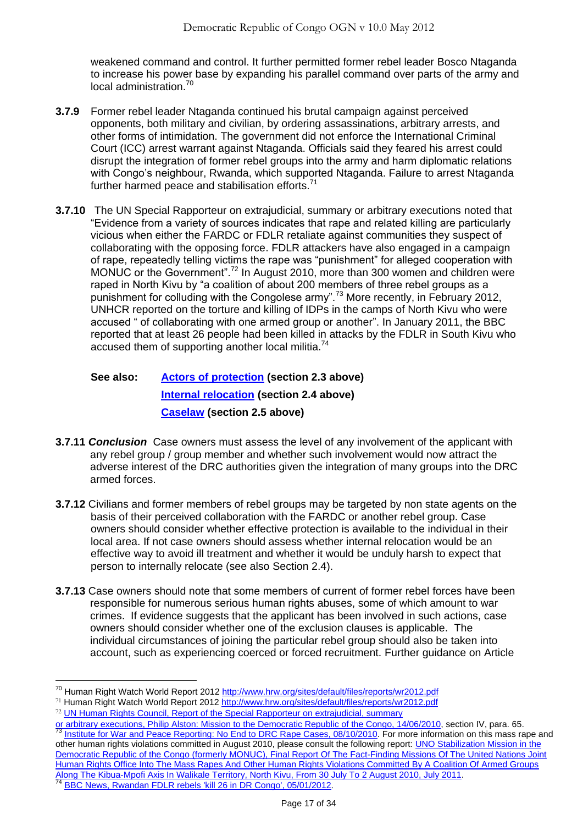weakened command and control. It further permitted former rebel leader Bosco Ntaganda to increase his power base by expanding his parallel command over parts of the army and local administration.<sup>70</sup>

- **3.7.9** Former rebel leader Ntaganda continued his brutal campaign against perceived opponents, both military and civilian, by ordering assassinations, arbitrary arrests, and other forms of intimidation. The government did not enforce the International Criminal Court (ICC) arrest warrant against Ntaganda. Officials said they feared his arrest could disrupt the integration of former rebel groups into the army and harm diplomatic relations with Congo's neighbour, Rwanda, which supported Ntaganda. Failure to arrest Ntaganda further harmed peace and stabilisation efforts. $71$
- **3.7.10** The UN Special Rapporteur on extrajudicial, summary or arbitrary executions noted that ―Evidence from a variety of sources indicates that rape and related killing are particularly vicious when either the FARDC or FDLR retaliate against communities they suspect of collaborating with the opposing force. FDLR attackers have also engaged in a campaign of rape, repeatedly telling victims the rape was "punishment" for alleged cooperation with MONUC or the Government".<sup>72</sup> In August 2010, more than 300 women and children were raped in North Kivu by "a coalition of about 200 members of three rebel groups as a punishment for colluding with the Congolese army<sup>", 73</sup> More recently, in February 2012, UNHCR reported on the torture and killing of IDPs in the camps of North Kivu who were accused " of collaborating with one armed group or another". In January 2011, the BBC reported that at least 26 people had been killed in attacks by the FDLR in South Kivu who accused them of supporting another local militia.<sup>74</sup>

# **See also: [Actors of protection](#page-1-1) (section 2.3 above) [Internal relocation](#page-5-0) (section 2.4 above) [Caselaw](#page-6-0) (section 2.5 above)**

- **3.7.11** *Conclusion* Case owners must assess the level of any involvement of the applicant with any rebel group / group member and whether such involvement would now attract the adverse interest of the DRC authorities given the integration of many groups into the DRC armed forces.
- **3.7.12** Civilians and former members of rebel groups may be targeted by non state agents on the basis of their perceived collaboration with the FARDC or another rebel group. Case owners should consider whether effective protection is available to the individual in their local area. If not case owners should assess whether internal relocation would be an effective way to avoid ill treatment and whether it would be unduly harsh to expect that person to internally relocate (see also Section 2.4).
- **3.7.13** Case owners should note that some members of current of former rebel forces have been responsible for numerous serious human rights abuses, some of which amount to war crimes. If evidence suggests that the applicant has been involved in such actions, case owners should consider whether one of the exclusion clauses is applicable. The individual circumstances of joining the particular rebel group should also be taken into account, such as experiencing coerced or forced recruitment. Further guidance on Article

<sup>&</sup>lt;sup>70</sup> Human Right Watch World Report 2012<http://www.hrw.org/sites/default/files/reports/wr2012.pdf>

<sup>71</sup> Human Right Watch World Report 2012<http://www.hrw.org/sites/default/files/reports/wr2012.pdf>

<sup>72</sup> [UN Human Rights Council, Report of the Special Rapporteur on extrajudicial, summary](http://www.ecoi.net/file_upload/470_1281512125_g1014371.pdf) 

[or arbitrary executions, Philip Alston: Mission to the Democratic Republic of the Congo, 14/06/2010,](http://www.ecoi.net/file_upload/470_1281512125_g1014371.pdf) section IV, para. 65.<br><sup>73</sup> Institute for Weslend Research Institute Congo, 14/06/2010, section IV, para. 65. [Institute for War and Peace Reporting: No End to DRC Rape Cases, 08/10/2010.](http://www.ecoi.net/local_link/147733/248878_en.html) For more information on this mass rape and other human rights violations committed in August 2010, please consult the following report: UNO Stabilization Mission in the [Democratic Republic of the Congo \(formerly MONUC\), Final Report Of The Fact-Finding Missions Of The United Nations Joint](http://www.ecoi.net/file_upload/1226_1311753805_bcnudhrapportviolsmassifskibuampofi-en.pdf)  [Human Rights Office Into The Mass Rapes And Other Human Rights Violations Committed By A Coalition Of Armed Groups](http://www.ecoi.net/file_upload/1226_1311753805_bcnudhrapportviolsmassifskibuampofi-en.pdf)  [Along The Kibua-Mpofi Axis In Walikale Territory, North Kivu, From 30 July To 2 August 2010, July 2011.](http://www.ecoi.net/file_upload/1226_1311753805_bcnudhrapportviolsmassifskibuampofi-en.pdf) [BBC News, Rwandan FDLR rebels 'kill 26 in DR Congo', 05/01/2012](file:///C:/Documents%20and%20Settings/mkaye/Local%20Settings/Temp/Dropbox/Dropbox/ARC/SHSH/Downloads/Rwandan%20FDLR%20rebels%20).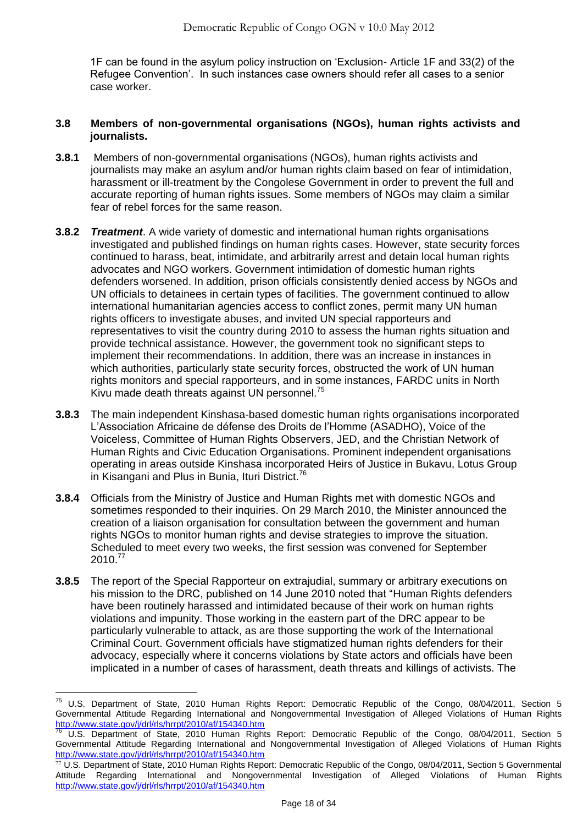1F can be found in the asylum policy instruction on ‗Exclusion- Article 1F and 33(2) of the Refugee Convention'. In such instances case owners should refer all cases to a senior case worker.

## **3.8 Members of non-governmental organisations (NGOs), human rights activists and journalists.**

- **3.8.1** Members of non-governmental organisations (NGOs), human rights activists and journalists may make an asylum and/or human rights claim based on fear of intimidation, harassment or ill-treatment by the Congolese Government in order to prevent the full and accurate reporting of human rights issues. Some members of NGOs may claim a similar fear of rebel forces for the same reason.
- **3.8.2** *Treatment*. A wide variety of domestic and international human rights organisations investigated and published findings on human rights cases. However, state security forces continued to harass, beat, intimidate, and arbitrarily arrest and detain local human rights advocates and NGO workers. Government intimidation of domestic human rights defenders worsened. In addition, prison officials consistently denied access by NGOs and UN officials to detainees in certain types of facilities. The government continued to allow international humanitarian agencies access to conflict zones, permit many UN human rights officers to investigate abuses, and invited UN special rapporteurs and representatives to visit the country during 2010 to assess the human rights situation and provide technical assistance. However, the government took no significant steps to implement their recommendations. In addition, there was an increase in instances in which authorities, particularly state security forces, obstructed the work of UN human rights monitors and special rapporteurs, and in some instances, FARDC units in North Kivu made death threats against UN personnel.<sup>75</sup>
- **3.8.3** The main independent Kinshasa-based domestic human rights organisations incorporated L'Association Africaine de défense des Droits de l'Homme (ASADHO), Voice of the Voiceless, Committee of Human Rights Observers, JED, and the Christian Network of Human Rights and Civic Education Organisations. Prominent independent organisations operating in areas outside Kinshasa incorporated Heirs of Justice in Bukavu, Lotus Group in Kisangani and Plus in Bunia, Ituri District.<sup>76</sup>
- **3.8.4** Officials from the Ministry of Justice and Human Rights met with domestic NGOs and sometimes responded to their inquiries. On 29 March 2010, the Minister announced the creation of a liaison organisation for consultation between the government and human rights NGOs to monitor human rights and devise strategies to improve the situation. Scheduled to meet every two weeks, the first session was convened for September 2010.<sup>77</sup>
- **3.8.5** The report of the Special Rapporteur on extrajudial, summary or arbitrary executions on his mission to the DRC, published on 14 June 2010 noted that "Human Rights defenders" have been routinely harassed and intimidated because of their work on human rights violations and impunity. Those working in the eastern part of the DRC appear to be particularly vulnerable to attack, as are those supporting the work of the International Criminal Court. Government officials have stigmatized human rights defenders for their advocacy, especially where it concerns violations by State actors and officials have been implicated in a number of cases of harassment, death threats and killings of activists. The

<sup>&</sup>lt;sup>75</sup> U.S. Department of State, 2010 Human Rights Report: Democratic Republic of the Congo, 08/04/2011, Section 5 Governmental Attitude Regarding International and Nongovernmental Investigation of Alleged Violations of Human Rights <http://www.state.gov/j/drl/rls/hrrpt/2010/af/154340.htm>

<sup>76</sup> U.S. Department of State, 2010 Human Rights Report: Democratic Republic of the Congo, 08/04/2011, Section 5 Governmental Attitude Regarding International and Nongovernmental Investigation of Alleged Violations of Human Rights <http://www.state.gov/j/drl/rls/hrrpt/2010/af/154340.htm>

<sup>77</sup> U.S. Department of State, 2010 Human Rights Report: Democratic Republic of the Congo, 08/04/2011, Section 5 Governmental Attitude Regarding International and Nongovernmental Investigation of Alleged Violations of Human Rights <http://www.state.gov/j/drl/rls/hrrpt/2010/af/154340.htm>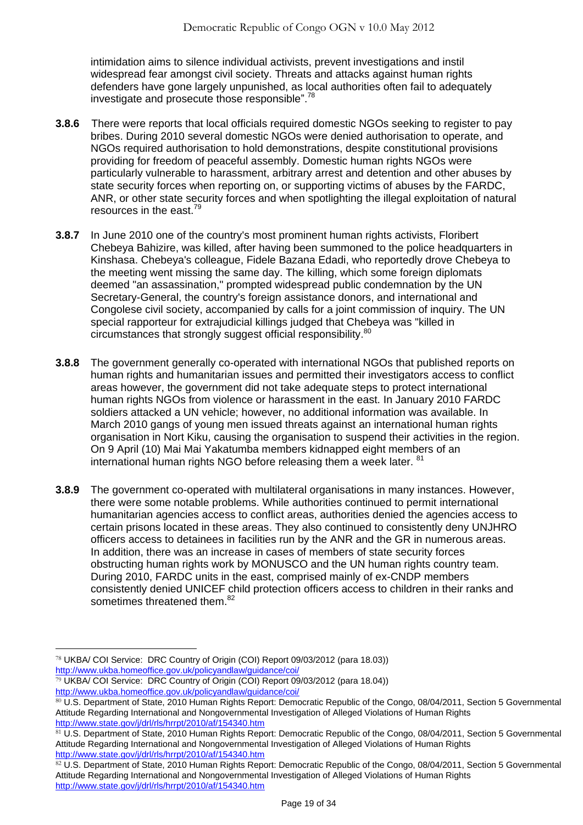intimidation aims to silence individual activists, prevent investigations and instil widespread fear amongst civil society. Threats and attacks against human rights defenders have gone largely unpunished, as local authorities often fail to adequately investigate and prosecute those responsible". $78$ 

- **3.8.6** There were reports that local officials required domestic NGOs seeking to register to pay bribes. During 2010 several domestic NGOs were denied authorisation to operate, and NGOs required authorisation to hold demonstrations, despite constitutional provisions providing for freedom of peaceful assembly. Domestic human rights NGOs were particularly vulnerable to harassment, arbitrary arrest and detention and other abuses by state security forces when reporting on, or supporting victims of abuses by the FARDC, ANR, or other state security forces and when spotlighting the illegal exploitation of natural resources in the east.<sup>79</sup>
- **3.8.7** In June 2010 one of the country's most prominent human rights activists, Floribert Chebeya Bahizire, was killed, after having been summoned to the police headquarters in Kinshasa. Chebeya's colleague, Fidele Bazana Edadi, who reportedly drove Chebeya to the meeting went missing the same day. The killing, which some foreign diplomats deemed "an assassination," prompted widespread public condemnation by the UN Secretary-General, the country's foreign assistance donors, and international and Congolese civil society, accompanied by calls for a joint commission of inquiry. The UN special rapporteur for extrajudicial killings judged that Chebeya was "killed in circumstances that strongly suggest official responsibility. 80
- **3.8.8** The government generally co-operated with international NGOs that published reports on human rights and humanitarian issues and permitted their investigators access to conflict areas however, the government did not take adequate steps to protect international human rights NGOs from violence or harassment in the east. In January 2010 FARDC soldiers attacked a UN vehicle; however, no additional information was available. In March 2010 gangs of young men issued threats against an international human rights organisation in Nort Kiku, causing the organisation to suspend their activities in the region. On 9 April (10) Mai Mai Yakatumba members kidnapped eight members of an international human rights NGO before releasing them a week later. <sup>81</sup>
- **3.8.9** The government co-operated with multilateral organisations in many instances. However, there were some notable problems. While authorities continued to permit international humanitarian agencies access to conflict areas, authorities denied the agencies access to certain prisons located in these areas. They also continued to consistently deny UNJHRO officers access to detainees in facilities run by the ANR and the GR in numerous areas. In addition, there was an increase in cases of members of state security forces obstructing human rights work by MONUSCO and the UN human rights country team. During 2010, FARDC units in the east, comprised mainly of ex-CNDP members consistently denied UNICEF child protection officers access to children in their ranks and sometimes threatened them.<sup>82</sup>

<sup>78</sup> UKBA/ COI Service: DRC Country of Origin (COI) Report 09/03/2012 (para 18.03)) <http://www.ukba.homeoffice.gov.uk/policyandlaw/guidance/coi/>

<sup>79</sup> UKBA/ COI Service: DRC Country of Origin (COI) Report 09/03/2012 (para 18.04)) <http://www.ukba.homeoffice.gov.uk/policyandlaw/guidance/coi/>

<sup>80</sup> U.S. Department of State, 2010 Human Rights Report: Democratic Republic of the Congo, 08/04/2011, Section 5 Governmental Attitude Regarding International and Nongovernmental Investigation of Alleged Violations of Human Rights <http://www.state.gov/j/drl/rls/hrrpt/2010/af/154340.htm>

<sup>81</sup> U.S. Department of State, 2010 Human Rights Report: Democratic Republic of the Congo, 08/04/2011, Section 5 Governmental Attitude Regarding International and Nongovernmental Investigation of Alleged Violations of Human Rights <http://www.state.gov/j/drl/rls/hrrpt/2010/af/154340.htm>

<sup>82</sup> U.S. Department of State, 2010 Human Rights Report: Democratic Republic of the Congo, 08/04/2011, Section 5 Governmental Attitude Regarding International and Nongovernmental Investigation of Alleged Violations of Human Rights <http://www.state.gov/j/drl/rls/hrrpt/2010/af/154340.htm>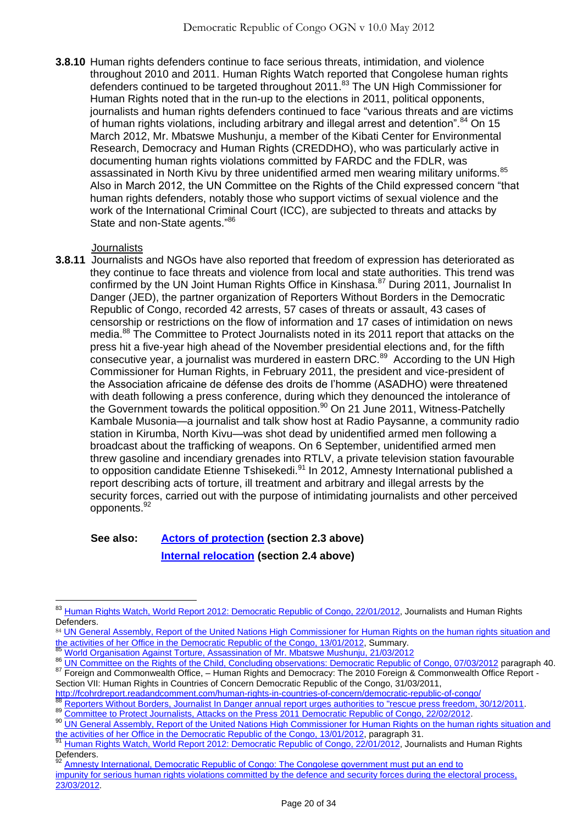**3.8.10** Human rights defenders continue to face serious threats, intimidation, and violence throughout 2010 and 2011. Human Rights Watch reported that Congolese human rights defenders continued to be targeted throughout 2011.<sup>83</sup> The UN High Commissioner for Human Rights noted that in the run-up to the elections in 2011, political opponents, journalists and human rights defenders continued to face "various threats and are victims of human rights violations, including arbitrary and illegal arrest and detention". $84$  On 15 March 2012, Mr. Mbatswe Mushunju, a member of the Kibati Center for Environmental Research, Democracy and Human Rights (CREDDHO), who was particularly active in documenting human rights violations committed by FARDC and the FDLR, was assassinated in North Kivu by three unidentified armed men wearing military uniforms.<sup>85</sup> Also in March 2012, the UN Committee on the Rights of the Child expressed concern "that human rights defenders, notably those who support victims of sexual violence and the work of the International Criminal Court (ICC), are subjected to threats and attacks by State and non-State agents."86

## **Journalists**

 $\overline{a}$ 

**3.8.11** Journalists and NGOs have also reported that freedom of expression has deteriorated as they continue to face threats and violence from local and state authorities. This trend was confirmed by the UN Joint Human Rights Office in Kinshasa.<sup>87</sup> During 2011, Journalist In Danger (JED), the partner organization of Reporters Without Borders in the Democratic Republic of Congo, recorded 42 arrests, 57 cases of threats or assault, 43 cases of censorship or restrictions on the flow of information and 17 cases of intimidation on news media.<sup>88</sup> The Committee to Protect Journalists noted in its 2011 report that attacks on the press hit a five-year high ahead of the November presidential elections and, for the fifth consecutive year, a journalist was murdered in eastern DRC.<sup>89</sup> According to the UN High Commissioner for Human Rights, in February 2011, the president and vice-president of the Association africaine de défense des droits de l'homme (ASADHO) were threatened with death following a press conference, during which they denounced the intolerance of the Government towards the political opposition. $90$  On 21 June 2011, Witness-Patchelly Kambale Musonia—a journalist and talk show host at Radio Paysanne, a community radio station in Kirumba, North Kivu—was shot dead by unidentified armed men following a broadcast about the trafficking of weapons. On 6 September, unidentified armed men threw gasoline and incendiary grenades into RTLV, a private television station favourable to opposition candidate Etienne Tshisekedi.<sup>91</sup> In 2012, Amnesty International published a report describing acts of torture, ill treatment and arbitrary and illegal arrests by the security forces, carried out with the purpose of intimidating journalists and other perceived opponents.<sup>92</sup>

# **See also: [Actors of protection](#page-1-1) (section 2.3 above) [Internal relocation](#page-5-0) (section 2.4 above)**

<sup>&</sup>lt;sup>83</sup> [Human Rights Watch, World Report 2012: Democratic Republic of Congo, 22/01/2012,](http://www.hrw.org/world-report-2012/world-report-2012-democratic-republic-congo) Journalists and Human Rights Defenders.

<sup>84</sup> UN General Assembly, Report of the United Nations High Commissioner for Human Rights on the human rights situation and [the activities of her Office in the Democratic Republic of the Congo, 13/01/2012,](http://www.ecoi.net/file_upload/1930_1329384980_a-hrc-19-48-en.pdf) Summary.

<sup>85</sup> [World Organisation Against Torture, Assassination of Mr. Mbatswe Mushunju, 21/03/2012](http://www.omct.org/fr/human-rights-defenders/urgent-interventions/congo-dem-republic/2012/03/d21685/)

<sup>86</sup> [UN Committee on the Rights of the Child, Concluding observations: Democratic Republic of Congo, 07/03/2012](http://tb.ohchr.org/default.aspx?country=zr) paragraph 40. 87 Foreign and Commonwealth Office, - Human Rights and Democracy: The 2010 Foreign & Commonwealth Office Report -

Section VII: Human Rights in Countries of Concern Democratic Republic of the Congo, 31/03/2011, <http://fcohrdreport.readandcomment.com/human-rights-in-countries-of-concern/democratic-republic-of-congo/>

<sup>88</sup> [Reporters Without Borders, Journalist In Danger annual report urges authorities to "rescue press freedom, 30/12/2011.](http://www.ecoi.net/local_link/207938/313407_en.html)

<sup>89</sup> [Committee to Protect Journalists, Attacks on the Press 2011 Democratic Republic of Congo, 22/02/2012.](http://www.cpj.org/2012/02/attacks-on-the-press-in-2011-democratic-republic-of-the-congo.php)

<sup>90</sup> UN General Assembly, Report of the United Nations High Commissioner for Human Rights on the human rights situation and [the activities of her Office in the Democratic Republic of the Congo, 13/01/2012,](http://www.ecoi.net/file_upload/1930_1329384980_a-hrc-19-48-en.pdf) paragraph 31.

[Human Rights Watch, World Report 2012: Democratic Republic of Congo, 22/01/2012,](http://www.hrw.org/world-report-2012/world-report-2012-democratic-republic-congo) Journalists and Human Rights Defenders.

[Amnesty International, Democratic Republic of Congo: The Congolese government must put an end to](http://www.amnesty.org/en/library/asset/AFR62/003/2012/en/d5854345-8afd-47f2-a3fe-d0a84c78b80e/afr620032012en.pdf) [impunity for serious human rights violations committed by the defence and security forces during the electoral process,](http://www.amnesty.org/en/library/asset/AFR62/003/2012/en/d5854345-8afd-47f2-a3fe-d0a84c78b80e/afr620032012en.pdf)  [23/03/2012](http://www.amnesty.org/en/library/asset/AFR62/003/2012/en/d5854345-8afd-47f2-a3fe-d0a84c78b80e/afr620032012en.pdf).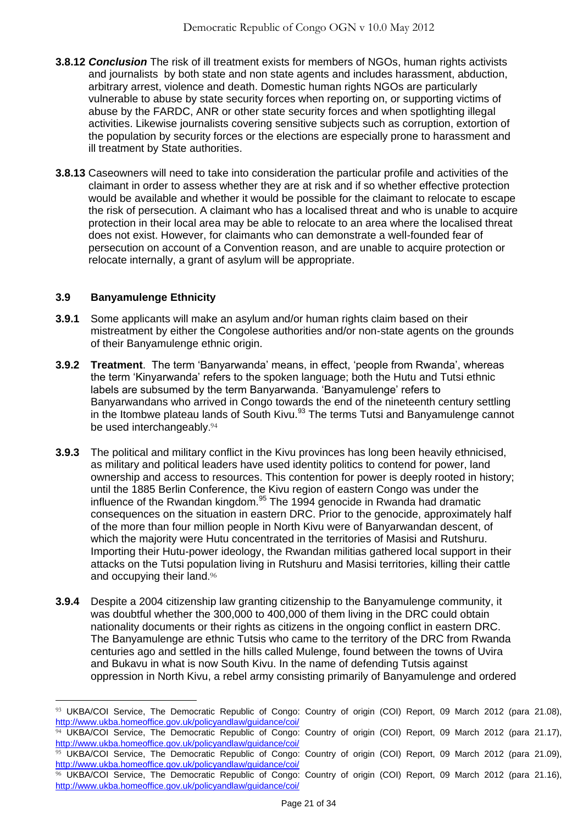- **3.8.12** *Conclusion* The risk of ill treatment exists for members of NGOs, human rights activists and journalists by both state and non state agents and includes harassment, abduction, arbitrary arrest, violence and death. Domestic human rights NGOs are particularly vulnerable to abuse by state security forces when reporting on, or supporting victims of abuse by the FARDC, ANR or other state security forces and when spotlighting illegal activities. Likewise journalists covering sensitive subjects such as corruption, extortion of the population by security forces or the elections are especially prone to harassment and ill treatment by State authorities.
- **3.8.13** Caseowners will need to take into consideration the particular profile and activities of the claimant in order to assess whether they are at risk and if so whether effective protection would be available and whether it would be possible for the claimant to relocate to escape the risk of persecution. A claimant who has a localised threat and who is unable to acquire protection in their local area may be able to relocate to an area where the localised threat does not exist. However, for claimants who can demonstrate a well-founded fear of persecution on account of a Convention reason, and are unable to acquire protection or relocate internally, a grant of asylum will be appropriate.

## **3.9 Banyamulenge Ethnicity**

- **3.9.1** Some applicants will make an asylum and/or human rights claim based on their mistreatment by either the Congolese authorities and/or non-state agents on the grounds of their Banyamulenge ethnic origin.
- **3.9.2 Treatment**. The term 'Banyarwanda' means, in effect, 'people from Rwanda', whereas the term ‗Kinyarwanda' refers to the spoken language; both the Hutu and Tutsi ethnic labels are subsumed by the term Banyarwanda. 'Banyamulenge' refers to Banyarwandans who arrived in Congo towards the end of the nineteenth century settling in the Itombwe plateau lands of South Kivu. $^{93}$  The terms Tutsi and Banyamulenge cannot be used interchangeably.<sup>94</sup>
- **3.9.3** The political and military conflict in the Kivu provinces has long been heavily ethnicised, as military and political leaders have used identity politics to contend for power, land ownership and access to resources. This contention for power is deeply rooted in history; until the 1885 Berlin Conference, the Kivu region of eastern Congo was under the influence of the Rwandan kingdom.<sup>95</sup> The 1994 genocide in Rwanda had dramatic consequences on the situation in eastern DRC. Prior to the genocide, approximately half of the more than four million people in North Kivu were of Banyarwandan descent, of which the majority were Hutu concentrated in the territories of Masisi and Rutshuru. Importing their Hutu-power ideology, the Rwandan militias gathered local support in their attacks on the Tutsi population living in Rutshuru and Masisi territories, killing their cattle and occupying their land. 96
- **3.9.4** Despite a 2004 citizenship law granting citizenship to the Banyamulenge community, it was doubtful whether the 300,000 to 400,000 of them living in the DRC could obtain nationality documents or their rights as citizens in the ongoing conflict in eastern DRC. The Banyamulenge are ethnic Tutsis who came to the territory of the DRC from Rwanda centuries ago and settled in the hills called Mulenge, found between the towns of Uvira and Bukavu in what is now South Kivu. In the name of defending Tutsis against oppression in North Kivu, a rebel army consisting primarily of Banyamulenge and ordered

<sup>93</sup> UKBA/COI Service, The Democratic Republic of Congo: Country of origin (COI) Report, 09 March 2012 (para 21.08), <http://www.ukba.homeoffice.gov.uk/policyandlaw/guidance/coi/> 94 UKBA/COI Service, The Democratic Republic of Congo: Country of origin (COI) Report, 09 March 2012 (para 21.17),

<http://www.ukba.homeoffice.gov.uk/policyandlaw/guidance/coi/> 95 UKBA/COI Service, The Democratic Republic of Congo: Country of origin (COI) Report, 09 March 2012 (para 21.09), <http://www.ukba.homeoffice.gov.uk/policyandlaw/guidance/coi/> 96 UKBA/COI Service, The Democratic Republic of Congo: Country of origin (COI) Report, 09 March 2012 (para 21.16), <http://www.ukba.homeoffice.gov.uk/policyandlaw/guidance/coi/>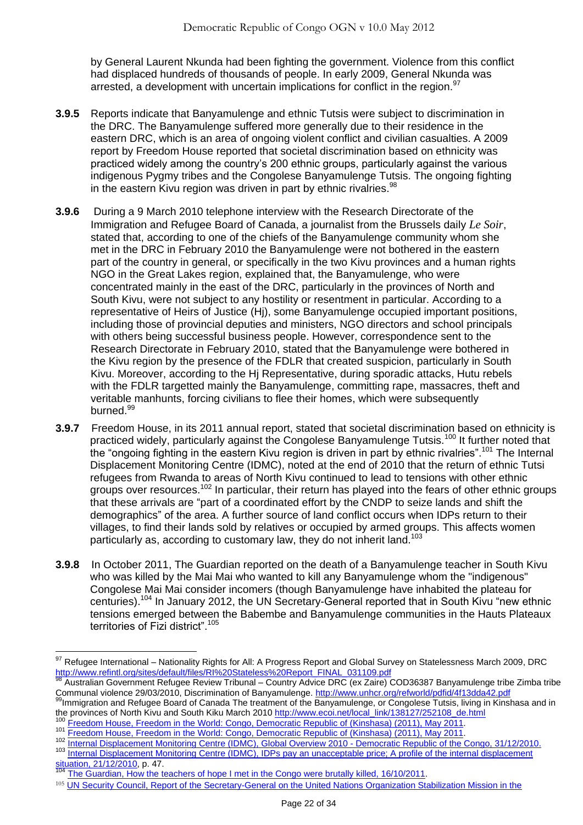by General Laurent Nkunda had been fighting the government. Violence from this conflict had displaced hundreds of thousands of people. In early 2009, General Nkunda was arrested, a development with uncertain implications for conflict in the region.<sup>97</sup>

- **3.9.5** Reports indicate that Banyamulenge and ethnic Tutsis were subject to discrimination in the DRC. The Banyamulenge suffered more generally due to their residence in the eastern DRC, which is an area of ongoing violent conflict and civilian casualties. A 2009 report by Freedom House reported that societal discrimination based on ethnicity was practiced widely among the country's 200 ethnic groups, particularly against the various indigenous Pygmy tribes and the Congolese Banyamulenge Tutsis. The ongoing fighting in the eastern Kivu region was driven in part by ethnic rivalries.<sup>98</sup>
- **3.9.6** During a 9 March 2010 telephone interview with the Research Directorate of the Immigration and Refugee Board of Canada, a journalist from the Brussels daily *Le Soir*, stated that, according to one of the chiefs of the Banyamulenge community whom she met in the DRC in February 2010 the Banyamulenge were not bothered in the eastern part of the country in general, or specifically in the two Kivu provinces and a human rights NGO in the Great Lakes region, explained that, the Banyamulenge, who were concentrated mainly in the east of the DRC, particularly in the provinces of North and South Kivu, were not subject to any hostility or resentment in particular. According to a representative of Heirs of Justice (Hj), some Banyamulenge occupied important positions, including those of provincial deputies and ministers, NGO directors and school principals with others being successful business people. However, correspondence sent to the Research Directorate in February 2010, stated that the Banyamulenge were bothered in the Kivu region by the presence of the FDLR that created suspicion, particularly in South Kivu. Moreover, according to the Hj Representative, during sporadic attacks, Hutu rebels with the FDLR targetted mainly the Banyamulenge, committing rape, massacres, theft and veritable manhunts, forcing civilians to flee their homes, which were subsequently burned.<sup>99</sup>
- **3.9.7** Freedom House, in its 2011 annual report, stated that societal discrimination based on ethnicity is practiced widely, particularly against the Congolese Banyamulenge Tutsis.<sup>100</sup> It further noted that the "ongoing fighting in the eastern Kivu region is driven in part by ethnic rivalries".<sup>101</sup> The Internal Displacement Monitoring Centre (IDMC), noted at the end of 2010 that the return of ethnic Tutsi refugees from Rwanda to areas of North Kivu continued to lead to tensions with other ethnic groups over resources.<sup>102</sup> In particular, their return has played into the fears of other ethnic groups that these arrivals are "part of a coordinated effort by the CNDP to seize lands and shift the demographics" of the area. A further source of land conflict occurs when IDPs return to their villages, to find their lands sold by relatives or occupied by armed groups. This affects women particularly as, according to customary law, they do not inherit land.<sup>103</sup>
- **3.9.8** In October 2011, The Guardian reported on the death of a Banyamulenge teacher in South Kivu who was killed by the Mai Mai who wanted to kill any Banyamulenge whom the "indigenous" Congolese Mai Mai consider incomers (though Banyamulenge have inhabited the plateau for centuries).<sup>104</sup> In January 2012, the UN Secretary-General reported that in South Kivu "new ethnic tensions emerged between the Babembe and Banyamulenge communities in the Hauts Plateaux territories of Fizi district".<sup>105</sup>

- <sup>101</sup> [Freedom House, Freedom in the World: Congo, Democratic Republic of \(Kinshasa\) \(2011\), May 2011.](http://www.freedomhouse.org/template.cfm?page=22&year=2011&country=8169)
- 102 [Internal Displacement Monitoring Centre \(IDMC\), Global Overview 2010 -](http://www.internal-displacement.org/publications/global-overview-2010-africa-drc.pdf) Democratic Republic of the Congo, 31/12/2010.<br>103 Internal Displacement Monitoring Centre (IDMC), Global Overview 2010 Democratic Republic of the Internal Displacement Monitoring Centre (IDMC), IDPs pay an unacceptable price; A profile of the internal displacement

 $\overline{\phantom{a}}$ 

 $^{97}$  Refugee International – Nationality Rights for All: A Progress Report and Global Survey on Statelessness March 2009, DRC [http://www.refintl.org/sites/default/files/RI%20Stateless%20Report\\_FINAL\\_031109.pdf](http://www.refintl.org/sites/default/files/RI%20Stateless%20Report_FINAL_031109.pdf)

<sup>98</sup> Australian Government Refugee Review Tribunal – Country Advice DRC (ex Zaire) COD36387 Banyamulenge tribe Zimba tribe Communal violence 29/03/2010, Discrimination of Banyamulenge.<http://www.unhcr.org/refworld/pdfid/4f13dda42.pdf>

<sup>99</sup>Immigration and Refugee Board of Canada The treatment of the Banyamulenge, or Congolese Tutsis, living in Kinshasa and in the provinces of North Kivu and South Kiku March 2010 [http://www.ecoi.net/local\\_link/138127/252108\\_de.html](http://www.ecoi.net/local_link/138127/252108_de.html)<br><sup>100</sup> Freedom Ususe, Freedom Link is the Wikiku March 2010 http://www.ecoi.net/local\_link/138127/252108\_de.html

[Freedom House, Freedom in the World: Congo, Democratic Republic of \(Kinshasa\) \(2011\), May 2011.](http://www.freedomhouse.org/template.cfm?page=22&year=2011&country=8169)

[situation, 21/12/2010,](http://www.internal-displacement.org/8025708F004BE3B1/%28httpInfoFiles%29/15BD5C43183FCAD5C1257800005EA6A9/$file/Democratic+Republic+of+the+Congo+-+December+2010.pdf) p. 47. [The Guardian, How the teachers of hope I met in the Congo were brutally killed, 16/10/2011](http://www.guardian.co.uk/world/2011/oct/16/teachers-of-hope-in-congo-brutally-killed).

<sup>105</sup> UN Security Council, Report of the Secretary-General on the United Nations Organization Stabilization Mission in the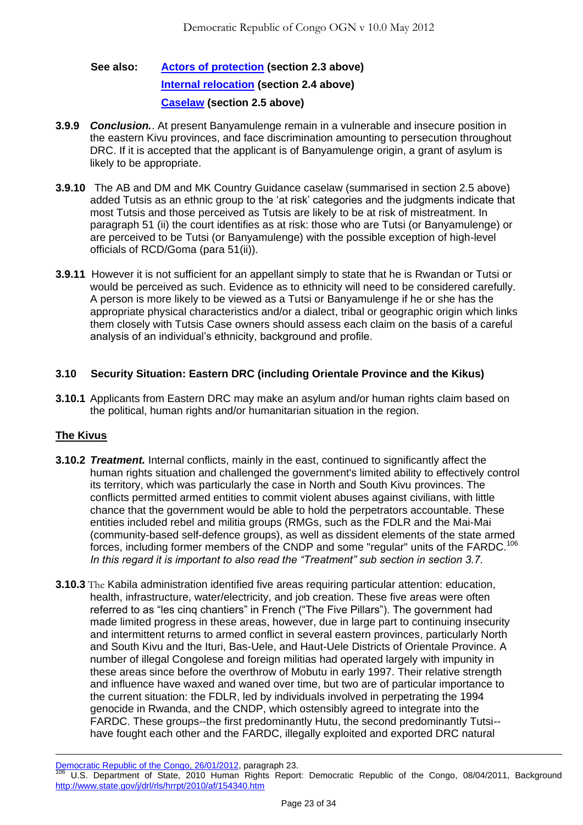# **See also: [Actors of protection](#page-1-1) (section 2.3 above) [Internal relocation](#page-5-0) (section 2.4 above) [Caselaw](#page-6-0) (section 2.5 above)**

- **3.9.9** *Conclusion.*. At present Banyamulenge remain in a vulnerable and insecure position in the eastern Kivu provinces, and face discrimination amounting to persecution throughout DRC. If it is accepted that the applicant is of Banyamulenge origin, a grant of asylum is likely to be appropriate.
- **3.9.10** The AB and DM and MK Country Guidance caselaw (summarised in section 2.5 above) added Tutsis as an ethnic group to the 'at risk' categories and the judgments indicate that most Tutsis and those perceived as Tutsis are likely to be at risk of mistreatment. In paragraph 51 (ii) the court identifies as at risk: those who are Tutsi (or Banyamulenge) or are perceived to be Tutsi (or Banyamulenge) with the possible exception of high-level officials of RCD/Goma (para 51(ii)).
- **3.9.11** However it is not sufficient for an appellant simply to state that he is Rwandan or Tutsi or would be perceived as such. Evidence as to ethnicity will need to be considered carefully. A person is more likely to be viewed as a Tutsi or Banyamulenge if he or she has the appropriate physical characteristics and/or a dialect, tribal or geographic origin which links them closely with Tutsis Case owners should assess each claim on the basis of a careful analysis of an individual's ethnicity, background and profile.

## **3.10 Security Situation: Eastern DRC (including Orientale Province and the Kikus)**

**3.10.1** Applicants from Eastern DRC may make an asylum and/or human rights claim based on the political, human rights and/or humanitarian situation in the region.

# **The Kivus**

 $\overline{a}$ 

- **3.10.2** *Treatment.* Internal conflicts, mainly in the east, continued to significantly affect the human rights situation and challenged the government's limited ability to effectively control its territory, which was particularly the case in North and South Kivu provinces. The conflicts permitted armed entities to commit violent abuses against civilians, with little chance that the government would be able to hold the perpetrators accountable. These entities included rebel and militia groups (RMGs, such as the FDLR and the Mai-Mai (community-based self-defence groups), as well as dissident elements of the state armed forces, including former members of the CNDP and some "regular" units of the FARDC.<sup>106</sup> *In this regard it is important to also read the "Treatment" sub section in section 3.7.*
- **3.10.3** The Kabila administration identified five areas requiring particular attention: education, health, infrastructure, water/electricity, and job creation. These five areas were often referred to as "les cing chantiers" in French ("The Five Pillars"). The government had made limited progress in these areas, however, due in large part to continuing insecurity and intermittent returns to armed conflict in several eastern provinces, particularly North and South Kivu and the Ituri, Bas-Uele, and Haut-Uele Districts of Orientale Province. A number of illegal Congolese and foreign militias had operated largely with impunity in these areas since before the overthrow of Mobutu in early 1997. Their relative strength and influence have waxed and waned over time, but two are of particular importance to the current situation: the FDLR, led by individuals involved in perpetrating the 1994 genocide in Rwanda, and the CNDP, which ostensibly agreed to integrate into the FARDC. These groups--the first predominantly Hutu, the second predominantly Tutsi- have fought each other and the FARDC, illegally exploited and exported DRC natural

Democratic Republic of the Congo, 26/01/2012, paragraph 23.

<sup>106</sup> U.S. Department of State, 2010 Human Rights Report: Democratic Republic of the Congo, 08/04/2011, Background <http://www.state.gov/j/drl/rls/hrrpt/2010/af/154340.htm>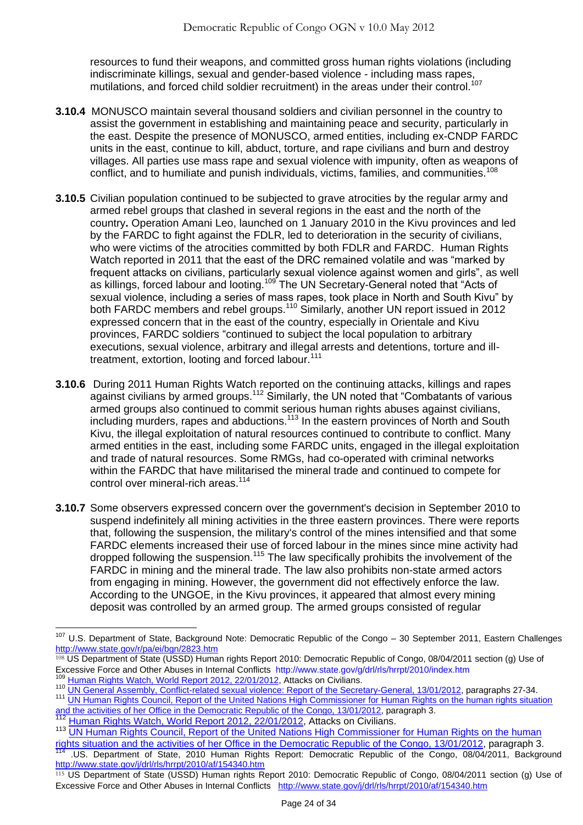resources to fund their weapons, and committed gross human rights violations (including indiscriminate killings, sexual and gender-based violence - including mass rapes, mutilations, and forced child soldier recruitment) in the areas under their control.<sup>107</sup>

- **3.10.4** MONUSCO maintain several thousand soldiers and civilian personnel in the country to assist the government in establishing and maintaining peace and security, particularly in the east. Despite the presence of MONUSCO, armed entities, including ex-CNDP FARDC units in the east, continue to kill, abduct, torture, and rape civilians and burn and destroy villages. All parties use mass rape and sexual violence with impunity, often as weapons of conflict, and to humiliate and punish individuals, victims, families, and communities.<sup>108</sup>
- **3.10.5** Civilian population continued to be subjected to grave atrocities by the regular army and armed rebel groups that clashed in several regions in the east and the north of the country**.** Operation Amani Leo, launched on 1 January 2010 in the Kivu provinces and led by the FARDC to fight against the FDLR, led to deterioration in the security of civilians, who were victims of the atrocities committed by both FDLR and FARDC. Human Rights Watch reported in 2011 that the east of the DRC remained volatile and was "marked by frequent attacks on civilians, particularly sexual violence against women and girls", as well as killings, forced labour and looting.<sup>109</sup> The UN Secretary-General noted that "Acts of sexual violence, including a series of mass rapes, took place in North and South Kivu" bv both FARDC members and rebel groups.<sup>110</sup> Similarly, another UN report issued in 2012 expressed concern that in the east of the country, especially in Orientale and Kivu provinces, FARDC soldiers "continued to subject the local population to arbitrary executions, sexual violence, arbitrary and illegal arrests and detentions, torture and illtreatment, extortion, looting and forced labour.<sup>111</sup>
- **3.10.6** During 2011 Human Rights Watch reported on the continuing attacks, killings and rapes against civilians by armed groups.<sup>112</sup> Similarly, the UN noted that "Combatants of various armed groups also continued to commit serious human rights abuses against civilians, including murders, rapes and abductions.<sup>113</sup> In the eastern provinces of North and South Kivu, the illegal exploitation of natural resources continued to contribute to conflict. Many armed entities in the east, including some FARDC units, engaged in the illegal exploitation and trade of natural resources. Some RMGs, had co-operated with criminal networks within the FARDC that have militarised the mineral trade and continued to compete for control over mineral-rich areas.<sup>114</sup>
- **3.10.7** Some observers expressed concern over the government's decision in September 2010 to suspend indefinitely all mining activities in the three eastern provinces. There were reports that, following the suspension, the military's control of the mines intensified and that some FARDC elements increased their use of forced labour in the mines since mine activity had dropped following the suspension.<sup>115</sup> The law specifically prohibits the involvement of the FARDC in mining and the mineral trade. The law also prohibits non-state armed actors from engaging in mining. However, the government did not effectively enforce the law. According to the UNGOE, in the Kivu provinces, it appeared that almost every mining deposit was controlled by an armed group. The armed groups consisted of regular

<sup>&</sup>lt;sup>107</sup> U.S. Department of State, Background Note: Democratic Republic of the Congo – 30 September 2011, Eastern Challenges <http://www.state.gov/r/pa/ei/bgn/2823.htm>

<sup>&</sup>lt;sup>108</sup> US Department of State (USSD) Human rights Report 2010: Democratic Republic of Congo, 08/04/2011 section (g) Use of Excessive Force and Other Abuses in Internal Conflicts <http://www.state.gov/g/drl/rls/hrrpt/2010/index.htm> Human Rights [Watch, World Report 2012, 22/01/2012,](http://www.ecoi.net/local_link/208795/314335_en.html) Attacks on Civilians.

<sup>110</sup> [UN General Assembly, Conflict-related sexual violence: Report of the Secretary-General, 13/01/2012,](http://www.ecoi.net/file_upload/2016_1329735172_n1165018.pdf) paragraphs 27-34.

<sup>&</sup>lt;sup>111</sup> UN Human Rights Council, Report of the United Nations High Commissioner for Human Rights on the human rights situation [and the activities of her Office in the Democratic Republic of the Congo, 13/01/2012,](http://www.ecoi.net/file_upload/1930_1329384980_a-hrc-19-48-en.pdf) paragraph 3.

<sup>&</sup>lt;sup>112</sup> [Human Rights Watch, World Report 2012, 22/01/2012,](http://www.ecoi.net/local_link/208795/314335_en.html) Attacks on Civilians.

<sup>113</sup> UN Human Rights Council, Report of the United Nations High Commissioner for Human Rights on the human <mark>rights situation and the activities of her Office in the Democratic Republic of the Congo, 13/01/2012</mark>, paragraph 3.<br><sup>114</sup> .US. Department of State, 2010 Human Rights Report: Democratic Republic of the Congo, 08/04/2011, <http://www.state.gov/j/drl/rls/hrrpt/2010/af/154340.htm>

<sup>115</sup> US Department of State (USSD) Human rights Report 2010: Democratic Republic of Congo, 08/04/2011 section (g) Use of Excessive Force and Other Abuses in Internal Conflicts <http://www.state.gov/j/drl/rls/hrrpt/2010/af/154340.htm>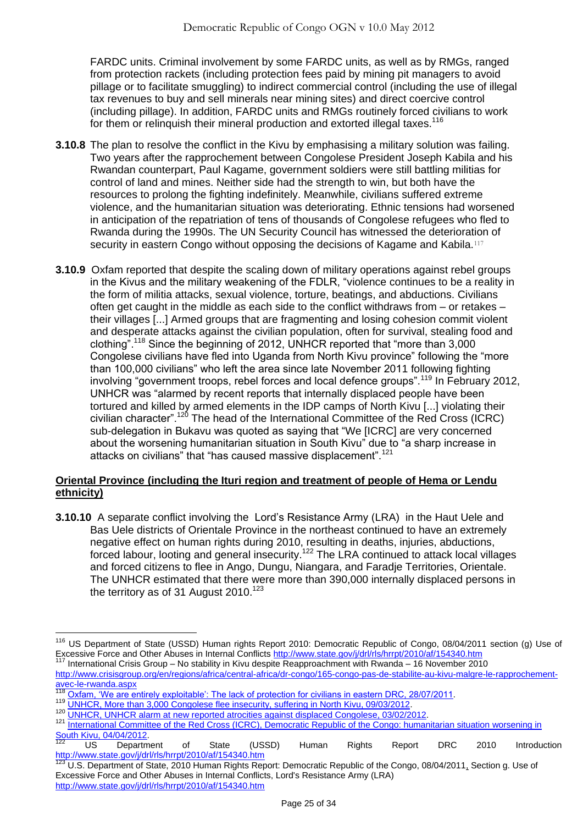FARDC units. Criminal involvement by some FARDC units, as well as by RMGs, ranged from protection rackets (including protection fees paid by mining pit managers to avoid pillage or to facilitate smuggling) to indirect commercial control (including the use of illegal tax revenues to buy and sell minerals near mining sites) and direct coercive control (including pillage). In addition, FARDC units and RMGs routinely forced civilians to work for them or relinquish their mineral production and extorted illegal taxes.<sup>116</sup>

- **3.10.8** The plan to resolve the conflict in the Kivu by emphasising a military solution was failing. Two years after the rapprochement between Congolese President Joseph Kabila and his Rwandan counterpart, Paul Kagame, government soldiers were still battling militias for control of land and mines. Neither side had the strength to win, but both have the resources to prolong the fighting indefinitely. Meanwhile, civilians suffered extreme violence, and the humanitarian situation was deteriorating. Ethnic tensions had worsened in anticipation of the repatriation of tens of thousands of Congolese refugees who fled to Rwanda during the 1990s. The UN Security Council has witnessed the deterioration of security in eastern Congo without opposing the decisions of Kagame and Kabila.<sup>117</sup>
- **3.10.9** Oxfam reported that despite the scaling down of military operations against rebel groups in the Kivus and the military weakening of the FDLR, "violence continues to be a reality in the form of militia attacks, sexual violence, torture, beatings, and abductions. Civilians often get caught in the middle as each side to the conflict withdraws from – or retakes – their villages [...] Armed groups that are fragmenting and losing cohesion commit violent and desperate attacks against the civilian population, often for survival, stealing food and clothing".<sup>118</sup> Since the beginning of 2012, UNHCR reported that "more than 3,000 Congolese civilians have fled into Uganda from North Kivu province" following the "more than 100,000 civilians" who left the area since late November 2011 following fighting involving "government troops, rebel forces and local defence groups".<sup>119</sup> In February 2012, UNHCR was "alarmed by recent reports that internally displaced people have been tortured and killed by armed elements in the IDP camps of North Kivu [...] violating their civilian character".<sup>120</sup> The head of the International Committee of the Red Cross (ICRC) sub-delegation in Bukavu was quoted as saying that "We [ICRC] are very concerned about the worsening humanitarian situation in South Kivu" due to "a sharp increase in attacks on civilians" that "has caused massive displacement".<sup>121</sup>

## **Oriental Province (including the Ituri region and treatment of people of Hema or Lendu ethnicity)**

**3.10.10** A separate conflict involving the Lord's Resistance Army (LRA) in the Haut Uele and Bas Uele districts of Orientale Province in the northeast continued to have an extremely negative effect on human rights during 2010, resulting in deaths, injuries, abductions, forced labour, looting and general insecurity.<sup>122</sup> The LRA continued to attack local villages and forced citizens to flee in Ango, Dungu, Niangara, and Faradje Territories, Orientale. The UNHCR estimated that there were more than 390,000 internally displaced persons in the territory as of 31 August 2010. $123$ 

 $\overline{a}$ <sup>116</sup> US Department of State (USSD) Human rights Report 2010: Democratic Republic of Congo, 08/04/2011 section (g) Use of Excessive Force and Other Abuses in Internal Conflicts<http://www.state.gov/j/drl/rls/hrrpt/2010/af/154340.htm>

<sup>117</sup> International Crisis Group – No stability in Kivu despite Reapproachment with Rwanda – 16 November 2010 [http://www.crisisgroup.org/en/regions/africa/central-africa/dr-congo/165-congo-pas-de-stabilite-au-kivu-malgre-le-rapprochement](http://www.crisisgroup.org/en/regions/africa/central-africa/dr-congo/165-congo-pas-de-stabilite-au-kivu-malgre-le-rapprochement-avec-le-rwanda.aspx)[avec-le-rwanda.aspx](http://www.crisisgroup.org/en/regions/africa/central-africa/dr-congo/165-congo-pas-de-stabilite-au-kivu-malgre-le-rapprochement-avec-le-rwanda.aspx)

<sup>&</sup>lt;sup>118</sup> Oxfam, 'We are entirely exploitable': The lack of protection for civilians in eastern DRC, 28/07/2011.

<sup>&</sup>lt;sup>119</sup> [UNHCR, More than 3,000 Congolese flee insecurity, suffering in North Kivu, 09/03/2012.](http://www.ecoi.net/local_link/211849/317829_en.html)

<sup>120</sup> [UNHCR, UNHCR alarm at new reported atrocities against displaced Congolese, 03/02/2012.](http://www.ecoi.net/local_link/210303/316058_en.html)

<sup>121</sup> International Committee of the Red Cross (ICRC), Democratic Republic of the Congo: humanitarian situation worsening in [South Kivu, 04/04/2012.](http://www.unhcr.org/cgi-bin/texis/vtx/refworld/rwmain?page=country&docid=4f7d60982&skip=0&coi=COD&querysi=kivu&searchin=fulltext&display=10&sort=date)

 $122$  US Department of State (USSD) Human Rights Report DRC 2010 Introduction <http://www.state.gov/j/drl/rls/hrrpt/2010/af/154340.htm>

[U.S. Department of State, 2010 Human Rights Report: Democratic Republic of the Congo, 08/04/2011,](http://www.state.gov/j/drl/rls/hrrpt/2010/af/154340.htm) Section g. Use of Excessive Force and Other Abuses in Internal Conflicts, Lord's Resistance Army (LRA) <http://www.state.gov/j/drl/rls/hrrpt/2010/af/154340.htm>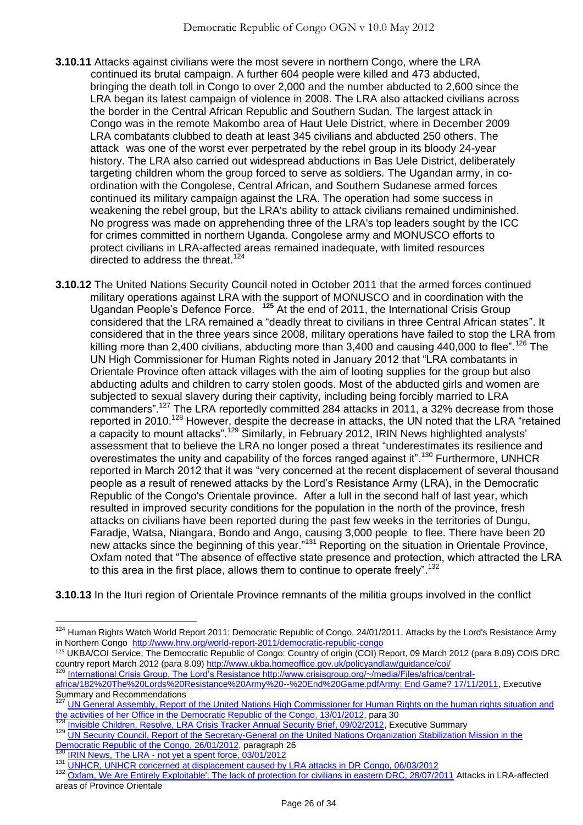- **3.10.11** Attacks against civilians were the most severe in northern Congo, where the LRA continued its brutal campaign. A further 604 people were killed and 473 abducted, bringing the death toll in Congo to over 2,000 and the number abducted to 2,600 since the LRA began its latest campaign of violence in 2008. The LRA also attacked civilians across the border in the Central African Republic and Southern Sudan. The largest attack in Congo was in the remote Makombo area of Haut Uele District, where in December 2009 LRA combatants clubbed to death at least 345 civilians and abducted 250 others. The attack was one of the worst ever perpetrated by the rebel group in its bloody 24-year history. The LRA also carried out widespread abductions in Bas Uele District, deliberately targeting children whom the group forced to serve as soldiers. The Ugandan army, in coordination with the Congolese, Central African, and Southern Sudanese armed forces continued its military campaign against the LRA. The operation had some success in weakening the rebel group, but the LRA's ability to attack civilians remained undiminished. No progress was made on apprehending three of the LRA's top leaders sought by the ICC for crimes committed in northern Uganda. Congolese army and MONUSCO efforts to protect civilians in LRA-affected areas remained inadequate, with limited resources directed to address the threat.<sup>124</sup>
- **3.10.12** The United Nations Security Council noted in October 2011 that the armed forces continued military operations against LRA with the support of MONUSCO and in coordination with the Ugandan People's Defence Force. **<sup>125</sup>** At the end of 2011, the International Crisis Group considered that the LRA remained a "deadly threat to civilians in three Central African states". It considered that in the three years since 2008, military operations have failed to stop the LRA from killing more than 2,400 civilians, abducting more than 3,400 and causing 440,000 to flee".<sup>126</sup> The UN High Commissioner for Human Rights noted in January 2012 that "LRA combatants in Orientale Province often attack villages with the aim of looting supplies for the group but also abducting adults and children to carry stolen goods. Most of the abducted girls and women are subjected to sexual slavery during their captivity, including being forcibly married to LRA commanders".<sup>127</sup> The LRA reportedly committed 284 attacks in 2011, a 32% decrease from those reported in 2010.<sup>128</sup> However, despite the decrease in attacks, the UN noted that the LRA "retained a capacity to mount attacks".<sup>129</sup> Similarly, in February 2012, IRIN News highlighted analysts' assessment that to believe the LRA no longer posed a threat "underestimates its resilience and overestimates the unity and capability of the forces ranged against it".<sup>130</sup> Furthermore, UNHCR reported in March 2012 that it was "very concerned at the recent displacement of several thousand people as a result of renewed attacks by the Lord's Resistance Army (LRA), in the Democratic Republic of the Congo's Orientale province. After a lull in the second half of last year, which resulted in improved security conditions for the population in the north of the province, fresh attacks on civilians have been reported during the past few weeks in the territories of Dungu, Faradje, Watsa, Niangara, Bondo and Ango, causing 3,000 people to flee. There have been 20 new attacks since the beginning of this year."<sup>131</sup> Reporting on the situation in Orientale Province, Oxfam noted that "The absence of effective state presence and protection, which attracted the LRA to this area in the first place, allows them to continue to operate freely".<sup>132</sup>

**3.10.13** In the Ituri region of Orientale Province remnants of the militia groups involved in the conflict

126 [International Crisis Group, The Lord's Resistance http://www.crisisgroup.org/~/media/Files/africa/central-](http://www.crisisgroup.org/~/media/Files/africa/central-africa/182%20The%20Lords%20Resistance%20Army%20--%20End%20Game.pdf)

 $\overline{a}$ <sup>124</sup> Human Rights Watch World Report 2011: Democratic Republic of Congo, 24/01/2011, Attacks by the Lord's Resistance Army in Northern Congo <http://www.hrw.org/world-report-2011/democratic-republic-congo>

<sup>125</sup> UKBA/COI Service, The Democratic Republic of Congo: Country of origin (COI) Report, 09 March 2012 (para 8.09) COIS DRC country report March 2012 (para 8.09)<http://www.ukba.homeoffice.gov.uk/policyandlaw/guidance/coi/>

[africa/182%20The%20Lords%20Resistance%20Army%20--%20End%20Game.pdfArmy: End Game? 17/11/2011,](http://www.crisisgroup.org/~/media/Files/africa/central-africa/182%20The%20Lords%20Resistance%20Army%20--%20End%20Game.pdf) Executive Summary and Recommendations

<sup>127</sup> [UN General Assembly, Report of the United Nations High Commissioner for Human Rights on the human rights situation and](http://www.ecoi.net/file_upload/1930_1329384980_a-hrc-19-48-en.pdf)  [the activities of her Office in the Democratic Republic of the Congo, 13/01/2012,](http://www.ecoi.net/file_upload/1930_1329384980_a-hrc-19-48-en.pdf) para 30<br><sup>128</sup> lavisities Of the Congo, 13/01/2012, para 30

[Invisible Children, Resolve, LRA Crisis Tracker Annual Security Brief, 09/02/2012,](http://reliefweb.int/sites/reliefweb.int/files/resources/Full%20Report_394.pdf) Executive Summary

<sup>129</sup> [UN Security Council, Report of the Secretary-General on the United Nations Organization Stabilization Mission in the](http://www.ecoi.net/file_upload/1930_1332410530_n1220629.pdf)  [Democratic Republic of the Congo, 26/01/2012,](http://www.ecoi.net/file_upload/1930_1332410530_n1220629.pdf) paragraph 26

IRIN News, The LRA - [not yet a spent force, 03/01/2012](http://www.irinnews.org/Report/94794/Analysis-The-LRA-not-yet-a-spent-force)

<sup>131</sup> [UNHCR, UNHCR concerned at displacement caused by LRA attacks in DR Congo, 06/03/2012](http://www.unhcr.org/4f55f6079.html)

[Oxfam, We Are Entirely Exploitable': The lack of protection for civilians in eastern DRC, 28/07/2011](http://www.oxfam.org.uk/resources/policy/conflict_disasters/downloads/bn-protection-civilians-eastern-drc-280711-en.pdf) Attacks in LRA-affected areas of Province Orientale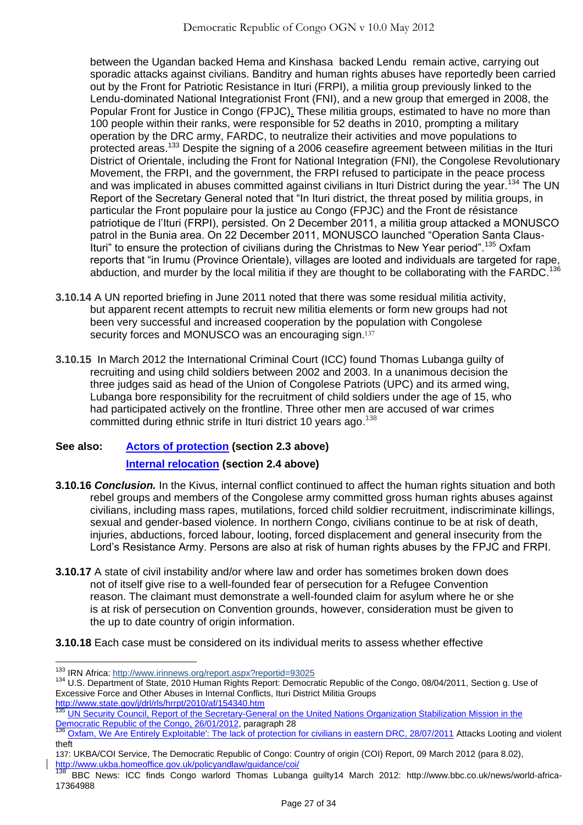between the Ugandan backed Hema and Kinshasa backed Lendu remain active, carrying out sporadic attacks against civilians. Banditry and human rights abuses have reportedly been carried out by the Front for Patriotic Resistance in Ituri (FRPI), a militia group previously linked to the Lendu-dominated National Integrationist Front (FNI), and a new group that emerged in 2008, the Popular Front for Justice in Congo (FPJC). These militia groups, estimated to have no more than 100 people within their ranks, were responsible for 52 deaths in 2010, prompting a military operation by the DRC army, FARDC, to neutralize their activities and move populations to protected areas.<sup>133</sup> Despite the signing of a 2006 ceasefire agreement between militias in the Ituri District of Orientale, including the Front for National Integration (FNI), the Congolese Revolutionary Movement, the FRPI, and the government, the FRPI refused to participate in the peace process and was implicated in abuses committed against civilians in Ituri District during the year.<sup>134</sup> The UN Report of the Secretary General noted that "In Ituri district, the threat posed by militia groups, in particular the Front populaire pour la justice au Congo (FPJC) and the Front de résistance patriotique de l'Ituri (FRPI), persisted. On 2 December 2011, a militia group attacked a MONUSCO patrol in the Bunia area. On 22 December 2011, MONUSCO launched "Operation Santa Claus-Ituri" to ensure the protection of civilians during the Christmas to New Year period".<sup>135</sup> Oxfam reports that "in Irumu (Province Orientale), villages are looted and individuals are targeted for rape, abduction, and murder by the local militia if they are thought to be collaborating with the FARDC.<sup>136</sup>

- **3.10.14** A UN reported briefing in June 2011 noted that there was some residual militia activity, but apparent recent attempts to recruit new militia elements or form new groups had not been very successful and increased cooperation by the population with Congolese security forces and MONUSCO was an encouraging sign.<sup>137</sup>
- **3.10.15** In March 2012 the International Criminal Court (ICC) found Thomas Lubanga guilty of recruiting and using child soldiers between 2002 and 2003. In a unanimous decision the three judges said as head of the Union of Congolese Patriots (UPC) and its armed wing, Lubanga bore responsibility for the recruitment of child soldiers under the age of 15, who had participated actively on the frontline. Three other men are accused of war crimes committed during ethnic strife in Ituri district 10 years ago.<sup>138</sup>

# **See also: [Actors of protection](#page-1-1) (section 2.3 above) [Internal relocation](#page-5-0) (section 2.4 above)**

- **3.10.16** *Conclusion.* In the Kivus, internal conflict continued to affect the human rights situation and both rebel groups and members of the Congolese army committed gross human rights abuses against civilians, including mass rapes, mutilations, forced child soldier recruitment, indiscriminate killings, sexual and gender-based violence. In northern Congo, civilians continue to be at risk of death, injuries, abductions, forced labour, looting, forced displacement and general insecurity from the Lord's Resistance Army. Persons are also at risk of human rights abuses by the FPJC and FRPI.
- **3.10.17** A state of civil instability and/or where law and order has sometimes broken down does not of itself give rise to a well-founded fear of persecution for a Refugee Convention reason. The claimant must demonstrate a well-founded claim for asylum where he or she is at risk of persecution on Convention grounds, however, consideration must be given to the up to date country of origin information.

## **3.10.18** Each case must be considered on its individual merits to assess whether effective

 $\overline{a}$ 133 IRN Africa: http://www.irinnews.org/report.aspx?reportid=93025

<sup>134</sup> [U.S. Department of State, 2010 Human Rights Report: Democratic Republic of the Congo, 08/04/2011,](http://www.state.gov/j/drl/rls/hrrpt/2010/af/154340.htm) Section g. Use of Excessive Force and Other Abuses in Internal Conflicts, Ituri District Militia Groups <http://www.state.gov/j/drl/rls/hrrpt/2010/af/154340.htm>

<sup>&</sup>lt;sup>135</sup> UN Security Council, Report of the Secretary-General on the United Nations Organization Stabilization Mission in the [Democratic Republic of the Congo, 26/01/2012,](http://www.ecoi.net/file_upload/1930_1332410530_n1220629.pdf) paragraph 28

<sup>136</sup> [Oxfam, We Are Entirely Exploitable': The lack of protection for civilians in eastern DRC, 28/07/2011](http://www.oxfam.org.uk/resources/policy/conflict_disasters/downloads/bn-protection-civilians-eastern-drc-280711-en.pdf) Attacks Looting and violent theft

<sup>137</sup>: UKBA/COI Service, The Democratic Republic of Congo: Country of origin (COI) Report, 09 March 2012 (para 8.02), <http://www.ukba.homeoffice.gov.uk/policyandlaw/guidance/coi/><br>138

<sup>138</sup> BBC News: ICC finds Congo warlord Thomas Lubanga guilty14 March 2012: http://www.bbc.co.uk/news/world-africa-17364988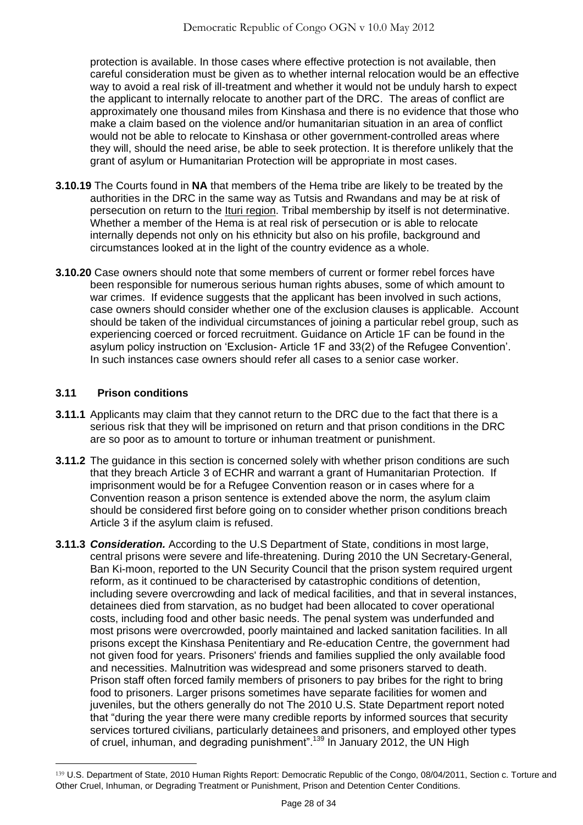protection is available. In those cases where effective protection is not available, then careful consideration must be given as to whether internal relocation would be an effective way to avoid a real risk of ill-treatment and whether it would not be unduly harsh to expect the applicant to internally relocate to another part of the DRC. The areas of conflict are approximately one thousand miles from Kinshasa and there is no evidence that those who make a claim based on the violence and/or humanitarian situation in an area of conflict would not be able to relocate to Kinshasa or other government-controlled areas where they will, should the need arise, be able to seek protection. It is therefore unlikely that the grant of asylum or Humanitarian Protection will be appropriate in most cases.

- **3.10.19** The Courts found in **NA** that members of the Hema tribe are likely to be treated by the authorities in the DRC in the same way as Tutsis and Rwandans and may be at risk of persecution on return to the Ituri region. Tribal membership by itself is not determinative. Whether a member of the Hema is at real risk of persecution or is able to relocate internally depends not only on his ethnicity but also on his profile, background and circumstances looked at in the light of the country evidence as a whole.
- **3.10.20** Case owners should note that some members of current or former rebel forces have been responsible for numerous serious human rights abuses, some of which amount to war crimes. If evidence suggests that the applicant has been involved in such actions, case owners should consider whether one of the exclusion clauses is applicable. Account should be taken of the individual circumstances of joining a particular rebel group, such as experiencing coerced or forced recruitment. Guidance on Article 1F can be found in the asylum policy instruction on 'Exclusion- Article 1F and 33(2) of the Refugee Convention'. In such instances case owners should refer all cases to a senior case worker.

# **3.11 Prison conditions**

- **3.11.1** Applicants may claim that they cannot return to the DRC due to the fact that there is a serious risk that they will be imprisoned on return and that prison conditions in the DRC are so poor as to amount to torture or inhuman treatment or punishment.
- **3.11.2** The guidance in this section is concerned solely with whether prison conditions are such that they breach Article 3 of ECHR and warrant a grant of Humanitarian Protection. If imprisonment would be for a Refugee Convention reason or in cases where for a Convention reason a prison sentence is extended above the norm, the asylum claim should be considered first before going on to consider whether prison conditions breach Article 3 if the asylum claim is refused.
- **3.11.3** *Consideration.* According to the U.S Department of State, conditions in most large, central prisons were severe and life-threatening. During 2010 the UN Secretary-General, Ban Ki-moon, reported to the UN Security Council that the prison system required urgent reform, as it continued to be characterised by catastrophic conditions of detention, including severe overcrowding and lack of medical facilities, and that in several instances, detainees died from starvation, as no budget had been allocated to cover operational costs, including food and other basic needs. The penal system was underfunded and most prisons were overcrowded, poorly maintained and lacked sanitation facilities. In all prisons except the Kinshasa Penitentiary and Re-education Centre, the government had not given food for years. Prisoners' friends and families supplied the only available food and necessities. Malnutrition was widespread and some prisoners starved to death. Prison staff often forced family members of prisoners to pay bribes for the right to bring food to prisoners. Larger prisons sometimes have separate facilities for women and juveniles, but the others generally do not The 2010 U.S. State Department report noted that "during the year there were many credible reports by informed sources that security services tortured civilians, particularly detainees and prisoners, and employed other types of cruel, inhuman, and degrading punishment".<sup>139</sup> In January 2012, the UN High

<sup>139</sup> [U.S. Department of State, 2010 Human Rights Report: Democratic Republic of the Congo, 08/04/2011,](http://www.state.gov/j/drl/rls/hrrpt/2010/af/154340.htm) Section c. Torture and Other Cruel, Inhuman, or Degrading Treatment or Punishment, Prison and Detention Center Conditions.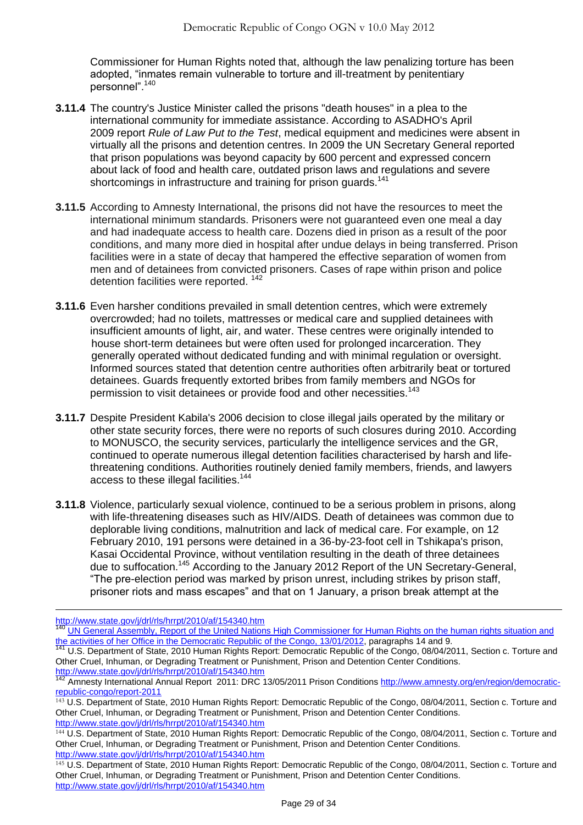Commissioner for Human Rights noted that, although the law penalizing torture has been adopted, "inmates remain vulnerable to torture and ill-treatment by penitentiary personnel".<sup>140</sup>

- **3.11.4** The country's Justice Minister called the prisons "death houses" in a plea to the international community for immediate assistance. According to ASADHO's April 2009 report *Rule of Law Put to the Test*, medical equipment and medicines were absent in virtually all the prisons and detention centres. In 2009 the UN Secretary General reported that prison populations was beyond capacity by 600 percent and expressed concern about lack of food and health care, outdated prison laws and regulations and severe shortcomings in infrastructure and training for prison guards.<sup>141</sup>
- **3.11.5** According to Amnesty International, the prisons did not have the resources to meet the international minimum standards. Prisoners were not guaranteed even one meal a day and had inadequate access to health care. Dozens died in prison as a result of the poor conditions, and many more died in hospital after undue delays in being transferred. Prison facilities were in a state of decay that hampered the effective separation of women from men and of detainees from convicted prisoners. Cases of rape within prison and police detention facilities were reported. <sup>142</sup>
- **3.11.6** Even harsher conditions prevailed in small detention centres, which were extremely overcrowded; had no toilets, mattresses or medical care and supplied detainees with insufficient amounts of light, air, and water. These centres were originally intended to house short-term detainees but were often used for prolonged incarceration. They generally operated without dedicated funding and with minimal regulation or oversight. Informed sources stated that detention centre authorities often arbitrarily beat or tortured detainees. Guards frequently extorted bribes from family members and NGOs for permission to visit detainees or provide food and other necessities.<sup>143</sup>
- **3.11.7** Despite President Kabila's 2006 decision to close illegal jails operated by the military or other state security forces, there were no reports of such closures during 2010. According to MONUSCO, the security services, particularly the intelligence services and the GR, continued to operate numerous illegal detention facilities characterised by harsh and lifethreatening conditions. Authorities routinely denied family members, friends, and lawyers access to these illegal facilities.<sup>144</sup>
- **3.11.8** Violence, particularly sexual violence, continued to be a serious problem in prisons, along with life-threatening diseases such as HIV/AIDS. Death of detainees was common due to deplorable living conditions, malnutrition and lack of medical care. For example, on 12 February 2010, 191 persons were detained in a 36-by-23-foot cell in Tshikapa's prison, Kasai Occidental Province, without ventilation resulting in the death of three detainees due to suffocation.<sup>145</sup> According to the January 2012 Report of the UN Secretary-General, "The pre-election period was marked by prison unrest, including strikes by prison staff, prisoner riots and mass escapes‖ and that on 1 January, a prison break attempt at the

<http://www.state.gov/j/drl/rls/hrrpt/2010/af/154340.htm>

 $\overline{a}$ 

UN General Assembly, Report of the United Nations High Commissioner for Human Rights on the human rights situation and [the activities of her Office in the Democratic Republic of the Congo, 13/01/2012,](http://www.ecoi.net/file_upload/1930_1329384980_a-hrc-19-48-en.pdf) paragraphs 14 and 9.

<sup>141</sup> [U.S. Department of State, 2010 Human Rights Report: Democratic Republic of the Congo, 08/04/2011,](http://www.state.gov/j/drl/rls/hrrpt/2010/af/154340.htm) Section c. Torture and Other Cruel, Inhuman, or Degrading Treatment or Punishment, Prison and Detention Center Conditions. <http://www.state.gov/j/drl/rls/hrrpt/2010/af/154340.htm>

<sup>&</sup>lt;sup>142</sup> Amnesty International Annual Report 2011: DRC 13/05/2011 Prison Conditions [http://www.amnesty.org/en/region/democratic](http://www.amnesty.org/en/region/democratic-republic-congo/report-2011)[republic-congo/report-2011](http://www.amnesty.org/en/region/democratic-republic-congo/report-2011)

<sup>143</sup> [U.S. Department of State, 2010 Human Rights Report: Democratic Republic of the Congo, 08/04/2011,](http://www.state.gov/j/drl/rls/hrrpt/2010/af/154340.htm) Section c. Torture and Other Cruel, Inhuman, or Degrading Treatment or Punishment, Prison and Detention Center Conditions. <http://www.state.gov/j/drl/rls/hrrpt/2010/af/154340.htm>

<sup>144</sup> [U.S. Department of State, 2010 Human Rights Report: Democratic Republic of the Congo, 08/04/2011,](http://www.state.gov/j/drl/rls/hrrpt/2010/af/154340.htm) Section c. Torture and Other Cruel, Inhuman, or Degrading Treatment or Punishment, Prison and Detention Center Conditions. <http://www.state.gov/j/drl/rls/hrrpt/2010/af/154340.htm>

<sup>&</sup>lt;sup>145</sup> [U.S. Department of State, 2010 Human Rights Report: Democratic Republic of the Congo, 08/04/2011,](http://www.state.gov/j/drl/rls/hrrpt/2010/af/154340.htm) Section c. Torture and Other Cruel, Inhuman, or Degrading Treatment or Punishment, Prison and Detention Center Conditions. <http://www.state.gov/j/drl/rls/hrrpt/2010/af/154340.htm>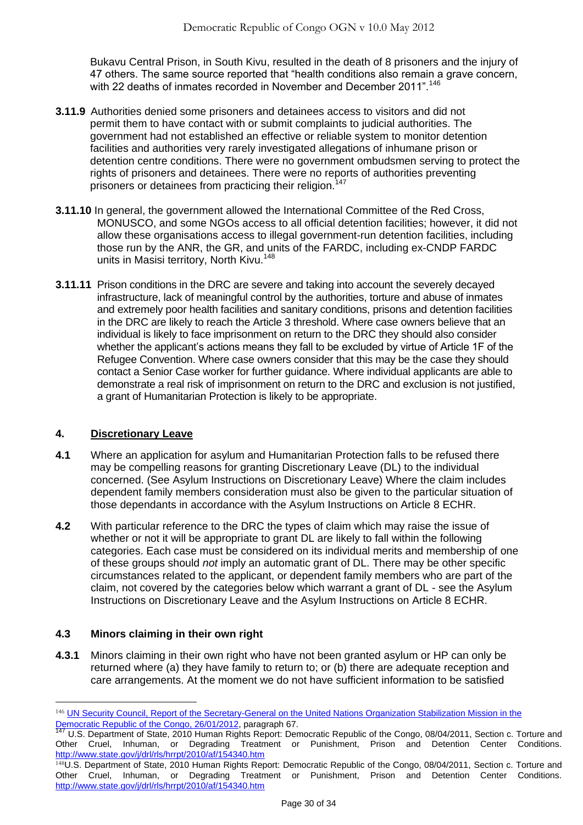Bukavu Central Prison, in South Kivu, resulted in the death of 8 prisoners and the injury of 47 others. The same source reported that "health conditions also remain a grave concern, with 22 deaths of inmates recorded in November and December 2011".<sup>146</sup>

- **3.11.9** Authorities denied some prisoners and detainees access to visitors and did not permit them to have contact with or submit complaints to judicial authorities. The government had not established an effective or reliable system to monitor detention facilities and authorities very rarely investigated allegations of inhumane prison or detention centre conditions. There were no government ombudsmen serving to protect the rights of prisoners and detainees. There were no reports of authorities preventing prisoners or detainees from practicing their religion.<sup>147</sup>
- **3.11.10** In general, the government allowed the International Committee of the Red Cross, MONUSCO, and some NGOs access to all official detention facilities; however, it did not allow these organisations access to illegal government-run detention facilities, including those run by the ANR, the GR, and units of the FARDC, including ex-CNDP FARDC units in Masisi territory, North Kivu.<sup>148</sup>
- **3.11.11** Prison conditions in the DRC are severe and taking into account the severely decayed infrastructure, lack of meaningful control by the authorities, torture and abuse of inmates and extremely poor health facilities and sanitary conditions, prisons and detention facilities in the DRC are likely to reach the Article 3 threshold. Where case owners believe that an individual is likely to face imprisonment on return to the DRC they should also consider whether the applicant's actions means they fall to be excluded by virtue of Article 1F of the Refugee Convention. Where case owners consider that this may be the case they should contact a Senior Case worker for further guidance. Where individual applicants are able to demonstrate a real risk of imprisonment on return to the DRC and exclusion is not justified, a grant of Humanitarian Protection is likely to be appropriate.

## <span id="page-29-0"></span>**4. Discretionary Leave**

- **4.1** Where an application for asylum and Humanitarian Protection falls to be refused there may be compelling reasons for granting Discretionary Leave (DL) to the individual concerned. (See Asylum Instructions on Discretionary Leave) Where the claim includes dependent family members consideration must also be given to the particular situation of those dependants in accordance with the Asylum Instructions on Article 8 ECHR.
- **4.2** With particular reference to the DRC the types of claim which may raise the issue of whether or not it will be appropriate to grant DL are likely to fall within the following categories. Each case must be considered on its individual merits and membership of one of these groups should *not* imply an automatic grant of DL. There may be other specific circumstances related to the applicant, or dependent family members who are part of the claim, not covered by the categories below which warrant a grant of DL - see the Asylum Instructions on Discretionary Leave and the Asylum Instructions on Article 8 ECHR.

# <span id="page-29-1"></span>**4.3 Minors claiming in their own right**

 $\overline{a}$ 

**4.3.1** Minors claiming in their own right who have not been granted asylum or HP can only be returned where (a) they have family to return to; or (b) there are adequate reception and care arrangements. At the moment we do not have sufficient information to be satisfied

<sup>146</sup> UN Security Council, Report of the Secretary-General on the United Nations Organization Stabilization Mission in the [Democratic Republic of the Congo, 26/01/2012,](http://www.ecoi.net/file_upload/1930_1332410530_n1220629.pdf) paragraph 67.

<sup>147</sup> [U.S. Department of State, 2010 Human Rights Report: Democratic Republic of the Congo, 08/04/2011,](http://www.state.gov/j/drl/rls/hrrpt/2010/af/154340.htm) Section c. Torture and Other Cruel, Inhuman, or Degrading Treatment or Punishment, Prison and Detention Center Conditions. <http://www.state.gov/j/drl/rls/hrrpt/2010/af/154340.htm>

<sup>148</sup>[U.S. Department of State, 2010 Human Rights Report: Democratic Republic of the Congo, 08/04/2011,](http://www.state.gov/j/drl/rls/hrrpt/2010/af/154340.htm) Section c. Torture and Other Cruel, Inhuman, or Degrading Treatment or Punishment, Prison and Detention Center Conditions. <http://www.state.gov/j/drl/rls/hrrpt/2010/af/154340.htm>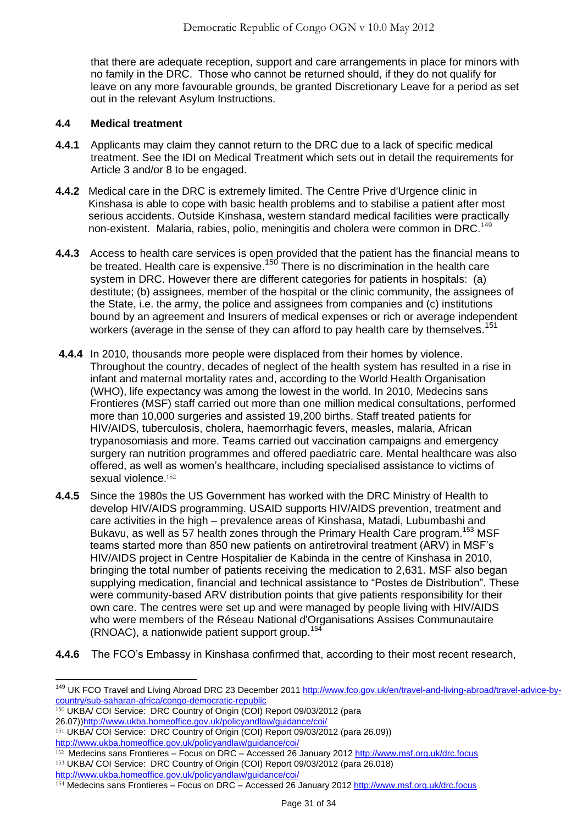that there are adequate reception, support and care arrangements in place for minors with no family in the DRC. Those who cannot be returned should, if they do not qualify for leave on any more favourable grounds, be granted Discretionary Leave for a period as set out in the relevant Asylum Instructions.

## <span id="page-30-0"></span>**4.4 Medical treatment**

- **4.4.1** Applicants may claim they cannot return to the DRC due to a lack of specific medical treatment. See the IDI on Medical Treatment which sets out in detail the requirements for Article 3 and/or 8 to be engaged.
- **4.4.2** Medical care in the DRC is extremely limited. The Centre Prive d'Urgence clinic in Kinshasa is able to cope with basic health problems and to stabilise a patient after most serious accidents. Outside Kinshasa, western standard medical facilities were practically non-existent. Malaria, rabies, polio, meningitis and cholera were common in DRC.<sup>149</sup>
- **4.4.3** Access to health care services is open provided that the patient has the financial means to be treated. Health care is expensive.<sup>150</sup> There is no discrimination in the health care system in DRC. However there are different categories for patients in hospitals: (a) destitute; (b) assignees, member of the hospital or the clinic community, the assignees of the State, i.e. the army, the police and assignees from companies and (c) institutions bound by an agreement and Insurers of medical expenses or rich or average independent workers (average in the sense of they can afford to pay health care by themselves.<sup>151</sup>
- **4.4.4** In 2010, thousands more people were displaced from their homes by violence. Throughout the country, decades of neglect of the health system has resulted in a rise in infant and maternal mortality rates and, according to the World Health Organisation (WHO), life expectancy was among the lowest in the world. In 2010, Medecins sans Frontieres (MSF) staff carried out more than one million medical consultations, performed more than 10,000 surgeries and assisted 19,200 births. Staff treated patients for HIV/AIDS, tuberculosis, cholera, haemorrhagic fevers, measles, malaria, African trypanosomiasis and more. Teams carried out vaccination campaigns and emergency surgery ran nutrition programmes and offered paediatric care. Mental healthcare was also offered, as well as women's healthcare, including specialised assistance to victims of sexual violence. 152
- **4.4.5** Since the 1980s the US Government has worked with the DRC Ministry of Health to develop HIV/AIDS programming. USAID supports HIV/AIDS prevention, treatment and care activities in the high – prevalence areas of Kinshasa, Matadi, Lubumbashi and Bukavu, as well as 57 health zones through the Primary Health Care program.<sup>153</sup> MSF teams started more than 850 new patients on antiretroviral treatment (ARV) in MSF's HIV/AIDS project in Centre Hospitalier de Kabinda in the centre of Kinshasa in 2010, bringing the total number of patients receiving the medication to 2,631. MSF also began supplying medication, financial and technical assistance to "Postes de Distribution". These were community-based ARV distribution points that give patients responsibility for their own care. The centres were set up and were managed by people living with HIV/AIDS who were members of the Réseau National d'Organisations Assises Communautaire (RNOAC), a nationwide patient support group.<sup>154</sup>
- **4.4.6** The FCO's Embassy in Kinshasa confirmed that, according to their most recent research,

<http://www.ukba.homeoffice.gov.uk/policyandlaw/guidance/coi/>

<sup>&</sup>lt;sup>149</sup> UK FCO Travel and Living Abroad DRC 23 December 2011 [http://www.fco.gov.uk/en/travel-and-living-abroad/travel-advice-by](http://www.fco.gov.uk/en/travel-and-living-abroad/travel-advice-by-country/sub-saharan-africa/congo-democratic-republic)[country/sub-saharan-africa/congo-democratic-republic](http://www.fco.gov.uk/en/travel-and-living-abroad/travel-advice-by-country/sub-saharan-africa/congo-democratic-republic)

<sup>150</sup> UKBA/ COI Service: DRC Country of Origin (COI) Report 09/03/2012 (para

<sup>26.07)</sup>[\)http://www.ukba.homeoffice.gov.uk/policyandlaw/guidance/coi/](http://www.ukba.homeoffice.gov.uk/policyandlaw/guidance/coi/)

<sup>151</sup> UKBA/ COI Service: DRC Country of Origin (COI) Report 09/03/2012 (para 26.09)) <http://www.ukba.homeoffice.gov.uk/policyandlaw/guidance/coi/>

<sup>&</sup>lt;sup>152</sup> Medecins sans Frontieres – Focus on DRC – Accessed 26 January 2012 <http://www.msf.org.uk/drc.focus> 153 UKBA/ COI Service: DRC Country of Origin (COI) Report 09/03/2012 (para 26.018)

<sup>154</sup> Medecins sans Frontieres – Focus on DRC – Accessed 26 January 2012 <http://www.msf.org.uk/drc.focus>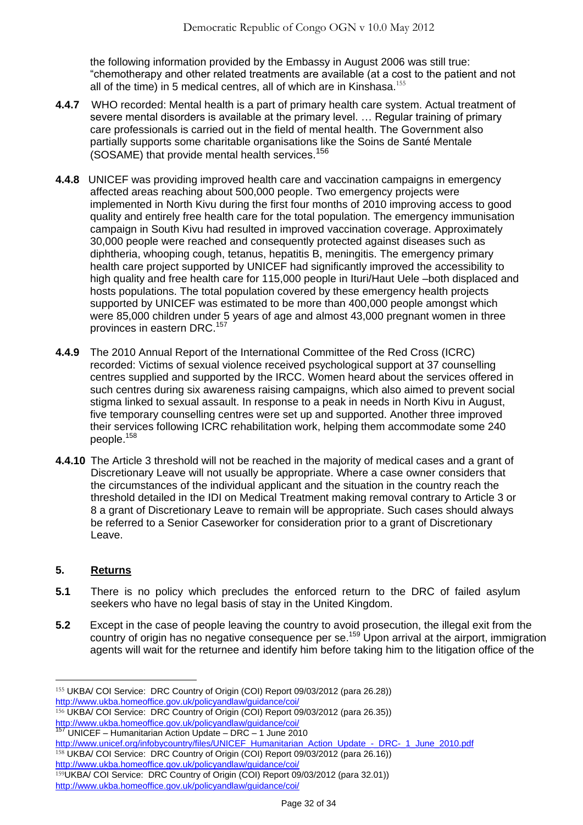the following information provided by the Embassy in August 2006 was still true: ―chemotherapy and other related treatments are available (at a cost to the patient and not all of the time) in 5 medical centres, all of which are in Kinshasa.<sup>155</sup>

- **4.4.7** WHO recorded: Mental health is a part of primary health care system. Actual treatment of severe mental disorders is available at the primary level. … Regular training of primary care professionals is carried out in the field of mental health. The Government also partially supports some charitable organisations like the Soins de Santé Mentale (SOSAME) that provide mental health services. 156
- **4.4.8** UNICEF was providing improved health care and vaccination campaigns in emergency affected areas reaching about 500,000 people. Two emergency projects were implemented in North Kivu during the first four months of 2010 improving access to good quality and entirely free health care for the total population. The emergency immunisation campaign in South Kivu had resulted in improved vaccination coverage. Approximately 30,000 people were reached and consequently protected against diseases such as diphtheria, whooping cough, tetanus, hepatitis B, meningitis. The emergency primary health care project supported by UNICEF had significantly improved the accessibility to high quality and free health care for 115,000 people in Ituri/Haut Uele –both displaced and hosts populations. The total population covered by these emergency health projects supported by UNICEF was estimated to be more than 400,000 people amongst which were 85,000 children under 5 years of age and almost 43,000 pregnant women in three provinces in eastern DRC.<sup>157</sup>
- **4.4.9** The 2010 Annual Report of the International Committee of the Red Cross (ICRC) recorded: Victims of sexual violence received psychological support at 37 counselling centres supplied and supported by the IRCC. Women heard about the services offered in such centres during six awareness raising campaigns, which also aimed to prevent social stigma linked to sexual assault. In response to a peak in needs in North Kivu in August, five temporary counselling centres were set up and supported. Another three improved their services following ICRC rehabilitation work, helping them accommodate some 240 people.<sup>158</sup>
- **4.4.10** The Article 3 threshold will not be reached in the majority of medical cases and a grant of Discretionary Leave will not usually be appropriate. Where a case owner considers that the circumstances of the individual applicant and the situation in the country reach the threshold detailed in the IDI on Medical Treatment making removal contrary to Article 3 or 8 a grant of Discretionary Leave to remain will be appropriate. Such cases should always be referred to a Senior Caseworker for consideration prior to a grant of Discretionary Leave.

# <span id="page-31-0"></span>**5. Returns**

- **5.1** There is no policy which precludes the enforced return to the DRC of failed asylum seekers who have no legal basis of stay in the United Kingdom.
- **5.2** Except in the case of people leaving the country to avoid prosecution, the illegal exit from the country of origin has no negative consequence per se.<sup>159</sup> Upon arrival at the airport, immigration agents will wait for the returnee and identify him before taking him to the litigation office of the

 $\overline{a}$ 155 UKBA/ COI Service: DRC Country of Origin (COI) Report 09/03/2012 (para 26.28)) <http://www.ukba.homeoffice.gov.uk/policyandlaw/guidance/coi/>

<sup>156</sup> UKBA/ COI Service: DRC Country of Origin (COI) Report 09/03/2012 (para 26.35)) <http://www.ukba.homeoffice.gov.uk/policyandlaw/guidance/coi/>

<sup>157</sup> UNICEF – Humanitarian Action Update – DRC – 1 June 2010

[http://www.unicef.org/infobycountry/files/UNICEF\\_Humanitarian\\_Action\\_Update\\_-\\_DRC-\\_1\\_June\\_2010.pdf](http://www.unicef.org/infobycountry/files/UNICEF_Humanitarian_Action_Update_-_DRC-_1_June_2010.pdf) 158 UKBA/ COI Service: DRC Country of Origin (COI) Report 09/03/2012 (para 26.16)) <http://www.ukba.homeoffice.gov.uk/policyandlaw/guidance/coi/>

<sup>159</sup>UKBA/ COI Service: DRC Country of Origin (COI) Report 09/03/2012 (para 32.01)) <http://www.ukba.homeoffice.gov.uk/policyandlaw/guidance/coi/>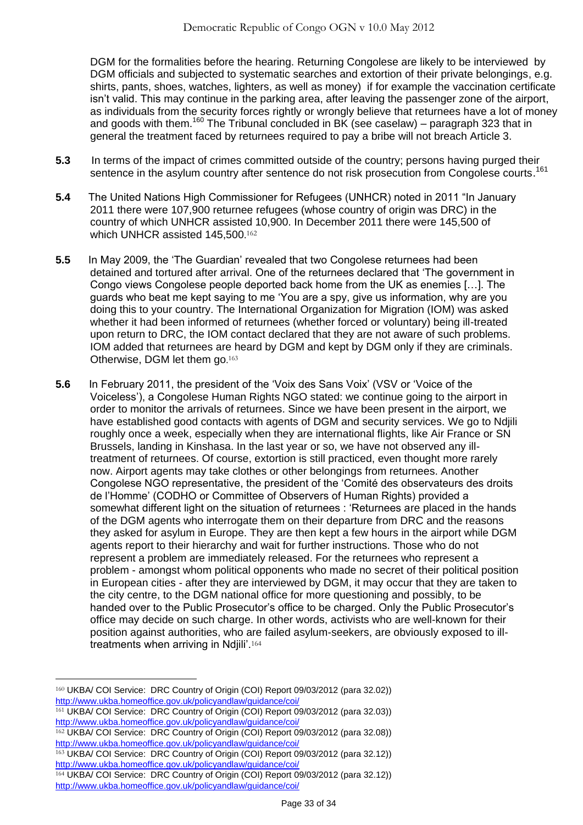DGM for the formalities before the hearing. Returning Congolese are likely to be interviewed by DGM officials and subjected to systematic searches and extortion of their private belongings, e.g. shirts, pants, shoes, watches, lighters, as well as money) if for example the vaccination certificate isn't valid. This may continue in the parking area, after leaving the passenger zone of the airport, as individuals from the security forces rightly or wrongly believe that returnees have a lot of money and goods with them.<sup>160</sup> The Tribunal concluded in BK (see caselaw) – paragraph 323 that in general the treatment faced by returnees required to pay a bribe will not breach Article 3.

- **5.3** In terms of the impact of crimes committed outside of the country; persons having purged their sentence in the asylum country after sentence do not risk prosecution from Congolese courts.<sup>161</sup>
- **5.4** The United Nations High Commissioner for Refugees (UNHCR) noted in 2011 "In January 2011 there were 107,900 returnee refugees (whose country of origin was DRC) in the country of which UNHCR assisted 10,900. In December 2011 there were 145,500 of which UNHCR assisted 145,500.<sup>162</sup>
- **5.5** In May 2009, the ‗The Guardian' revealed that two Congolese returnees had been detained and tortured after arrival. One of the returnees declared that 'The government in Congo views Congolese people deported back home from the UK as enemies […]. The guards who beat me kept saying to me 'You are a spy, give us information, why are you doing this to your country. The International Organization for Migration (IOM) was asked whether it had been informed of returnees (whether forced or voluntary) being ill-treated upon return to DRC, the IOM contact declared that they are not aware of such problems. IOM added that returnees are heard by DGM and kept by DGM only if they are criminals. Otherwise, DGM let them go.<sup>163</sup>
- **5.6** In February 2011, the president of the 'Voix des Sans Voix' (VSV or 'Voice of the Voiceless'), a Congolese Human Rights NGO stated: we continue going to the airport in order to monitor the arrivals of returnees. Since we have been present in the airport, we have established good contacts with agents of DGM and security services. We go to Ndjili roughly once a week, especially when they are international flights, like Air France or SN Brussels, landing in Kinshasa. In the last year or so, we have not observed any illtreatment of returnees. Of course, extortion is still practiced, even thought more rarely now. Airport agents may take clothes or other belongings from returnees. Another Congolese NGO representative, the president of the ‗Comité des observateurs des droits de l'Homme' (CODHO or Committee of Observers of Human Rights) provided a somewhat different light on the situation of returnees : 'Returnees are placed in the hands of the DGM agents who interrogate them on their departure from DRC and the reasons they asked for asylum in Europe. They are then kept a few hours in the airport while DGM agents report to their hierarchy and wait for further instructions. Those who do not represent a problem are immediately released. For the returnees who represent a problem - amongst whom political opponents who made no secret of their political position in European cities - after they are interviewed by DGM, it may occur that they are taken to the city centre, to the DGM national office for more questioning and possibly, to be handed over to the Public Prosecutor's office to be charged. Only the Public Prosecutor's office may decide on such charge. In other words, activists who are well-known for their position against authorities, who are failed asylum-seekers, are obviously exposed to illtreatments when arriving in Ndjili'.<sup>164</sup>

<sup>160</sup> UKBA/ COI Service: DRC Country of Origin (COI) Report 09/03/2012 (para 32.02)) <http://www.ukba.homeoffice.gov.uk/policyandlaw/guidance/coi/>

<sup>161</sup> UKBA/ COI Service: DRC Country of Origin (COI) Report 09/03/2012 (para 32.03)) <http://www.ukba.homeoffice.gov.uk/policyandlaw/guidance/coi/>

<sup>162</sup> UKBA/ COI Service: DRC Country of Origin (COI) Report 09/03/2012 (para 32.08)) <http://www.ukba.homeoffice.gov.uk/policyandlaw/guidance/coi/>

<sup>163</sup> UKBA/ COI Service: DRC Country of Origin (COI) Report 09/03/2012 (para 32.12)) <http://www.ukba.homeoffice.gov.uk/policyandlaw/guidance/coi/>

<sup>164</sup> UKBA/ COI Service: DRC Country of Origin (COI) Report 09/03/2012 (para 32.12)) <http://www.ukba.homeoffice.gov.uk/policyandlaw/guidance/coi/>